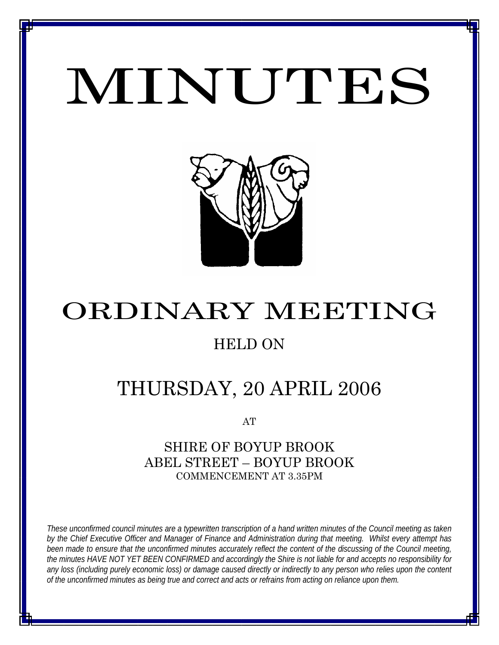# MINUTES

*MINUTES OF THE ORDINARY MEETING OF COUNCIL HELD ON 20 APRIL 2006*



# ORDINARY MEETING

### HELD ON

# THURSDAY, 20 APRIL 2006

AT

### SHIRE OF BOYUP BROOK ABEL STREET – BOYUP BROOK COMMENCEMENT AT 3.35PM

*These unconfirmed council minutes are a typewritten transcription of a hand written minutes of the Council meeting as taken by the Chief Executive Officer and Manager of Finance and Administration during that meeting. Whilst every attempt has been made to ensure that the unconfirmed minutes accurately reflect the content of the discussing of the Council meeting, the minutes HAVE NOT YET BEEN CONFIRMED and accordingly the Shire is not liable for and accepts no responsibility for any loss (including purely economic loss) or damage caused directly or indirectly to any person who relies upon the content of the unconfirmed minutes as being true and correct and acts or refrains from acting on reliance upon them.*

<u>1 - Johann Johann Barbara, martxa a shekara 1</u>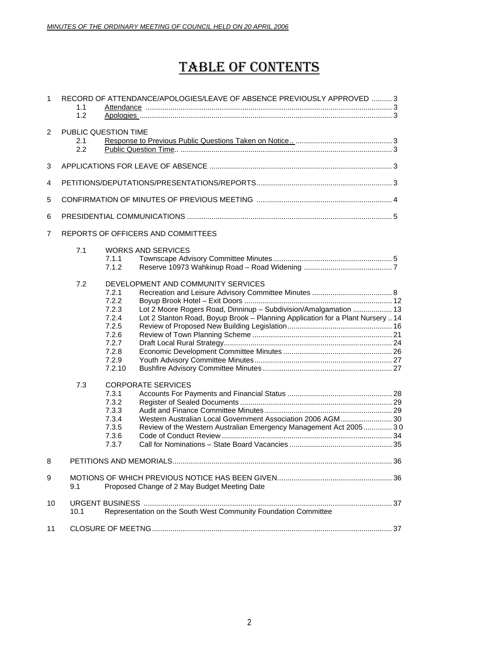## TABLE OF CONTENTS

| $\mathbf{1}$   | 1.1<br>1.2 | RECORD OF ATTENDANCE/APOLOGIES/LEAVE OF ABSENCE PREVIOUSLY APPROVED  3                                                                                                                                                                                                              |  |  |
|----------------|------------|-------------------------------------------------------------------------------------------------------------------------------------------------------------------------------------------------------------------------------------------------------------------------------------|--|--|
| $\overline{2}$ | 2.1<br>2.2 | PUBLIC QUESTION TIME                                                                                                                                                                                                                                                                |  |  |
| 3              |            |                                                                                                                                                                                                                                                                                     |  |  |
| 4              |            |                                                                                                                                                                                                                                                                                     |  |  |
| 5              |            |                                                                                                                                                                                                                                                                                     |  |  |
| 6              |            |                                                                                                                                                                                                                                                                                     |  |  |
| $\overline{7}$ |            | REPORTS OF OFFICERS AND COMMITTEES                                                                                                                                                                                                                                                  |  |  |
|                | 7.1        | <b>WORKS AND SERVICES</b><br>7.1.1<br>7.1.2                                                                                                                                                                                                                                         |  |  |
|                | 7.2        | DEVELOPMENT AND COMMUNITY SERVICES<br>7.2.1<br>7.2.2<br>Lot 2 Moore Rogers Road, Dinninup - Subdivision/Amalgamation  13<br>7.2.3<br>Lot 2 Stanton Road, Boyup Brook - Planning Application for a Plant Nursery  14<br>7.2.4<br>7.2.5<br>7.2.6<br>7.2.7<br>7.2.8<br>7.2.9<br>7.2.10 |  |  |
|                | 7.3        | <b>CORPORATE SERVICES</b><br>7.3.1<br>7.3.2<br>7.3.3<br>Western Australian Local Government Association 2006 AGM 30<br>7.3.4<br>7.3.5<br>Review of the Western Australian Emergency Management Act 2005 30<br>7.3.6<br>7.3.7                                                        |  |  |
| 8              |            |                                                                                                                                                                                                                                                                                     |  |  |
| 9              | 9.1        | Proposed Change of 2 May Budget Meeting Date                                                                                                                                                                                                                                        |  |  |
| 10             | 10.1       | Representation on the South West Community Foundation Committee                                                                                                                                                                                                                     |  |  |
| 11             |            |                                                                                                                                                                                                                                                                                     |  |  |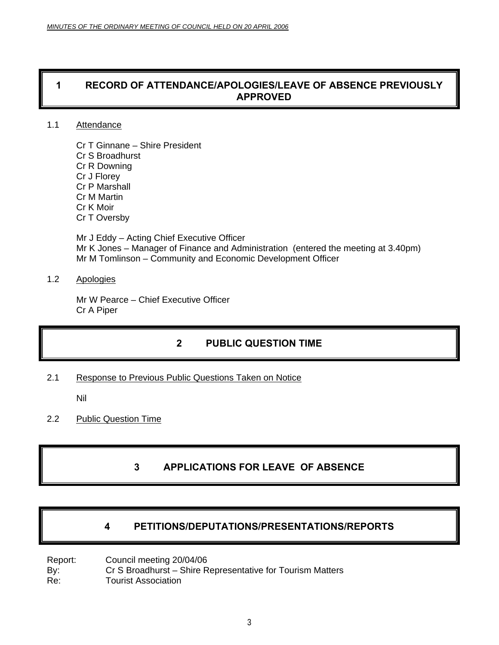### **1 RECORD OF ATTENDANCE/APOLOGIES/LEAVE OF ABSENCE PREVIOUSLY APPROVED**

#### 1.1 Attendance

Cr T Ginnane – Shire President Cr S Broadhurst Cr R Downing Cr J Florey Cr P Marshall Cr M Martin Cr K Moir Cr T Oversby

Mr J Eddy – Acting Chief Executive Officer Mr K Jones – Manager of Finance and Administration (entered the meeting at 3.40pm) Mr M Tomlinson – Community and Economic Development Officer

### 1.2 Apologies

Mr W Pearce – Chief Executive Officer Cr A Piper

### **2 PUBLIC QUESTION TIME**

2.1 Response to Previous Public Questions Taken on Notice

Nil

2.2 Public Question Time

### **3 APPLICATIONS FOR LEAVE OF ABSENCE**

### **4 PETITIONS/DEPUTATIONS/PRESENTATIONS/REPORTS**

Report: Council meeting 20/04/06 By: Cr S Broadhurst – Shire Representative for Tourism Matters Re: Tourist Association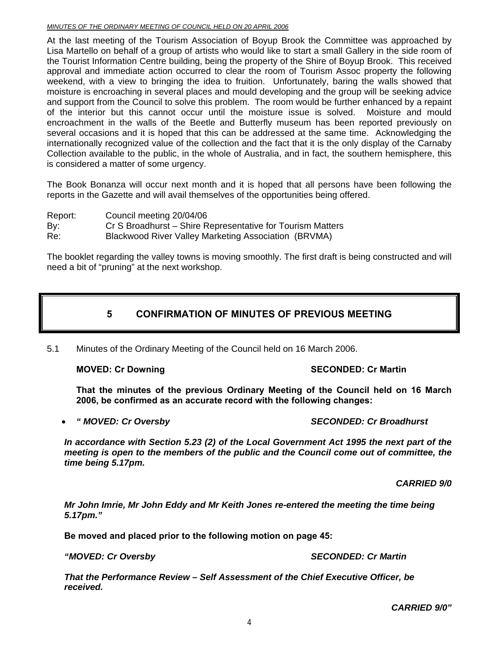#### *MINUTES OF THE ORDINARY MEETING OF COUNCIL HELD ON 20 APRIL 2006*

At the last meeting of the Tourism Association of Boyup Brook the Committee was approached by Lisa Martello on behalf of a group of artists who would like to start a small Gallery in the side room of the Tourist Information Centre building, being the property of the Shire of Boyup Brook. This received approval and immediate action occurred to clear the room of Tourism Assoc property the following weekend, with a view to bringing the idea to fruition. Unfortunately, baring the walls showed that moisture is encroaching in several places and mould developing and the group will be seeking advice and support from the Council to solve this problem. The room would be further enhanced by a repaint of the interior but this cannot occur until the moisture issue is solved. Moisture and mould encroachment in the walls of the Beetle and Butterfly museum has been reported previously on several occasions and it is hoped that this can be addressed at the same time. Acknowledging the internationally recognized value of the collection and the fact that it is the only display of the Carnaby Collection available to the public, in the whole of Australia, and in fact, the southern hemisphere, this is considered a matter of some urgency.

The Book Bonanza will occur next month and it is hoped that all persons have been following the reports in the Gazette and will avail themselves of the opportunities being offered.

Report: Council meeting 20/04/06 By: Cr S Broadhurst – Shire Representative for Tourism Matters

Re: Blackwood River Valley Marketing Association (BRVMA)

The booklet regarding the valley towns is moving smoothly. The first draft is being constructed and will need a bit of "pruning" at the next workshop.

### **5 CONFIRMATION OF MINUTES OF PREVIOUS MEETING**

5.1 Minutes of the Ordinary Meeting of the Council held on 16 March 2006.

**MOVED: Cr Downing Case Conducts Account SECONDED: Cr Martin** 

**That the minutes of the previous Ordinary Meeting of the Council held on 16 March 2006, be confirmed as an accurate record with the following changes:** 

#### • *" MOVED: Cr Oversby SECONDED: Cr Broadhurst*

*In accordance with Section 5.23 (2) of the Local Government Act 1995 the next part of the meeting is open to the members of the public and the Council come out of committee, the time being 5.17pm.* 

*CARRIED 9/0* 

*Mr John Imrie, Mr John Eddy and Mr Keith Jones re-entered the meeting the time being 5.17pm."* 

**Be moved and placed prior to the following motion on page 45:** 

*"MOVED: Cr Oversby SECONDED: Cr Martin* 

*That the Performance Review – Self Assessment of the Chief Executive Officer, be received.* 

*CARRIED 9/0"*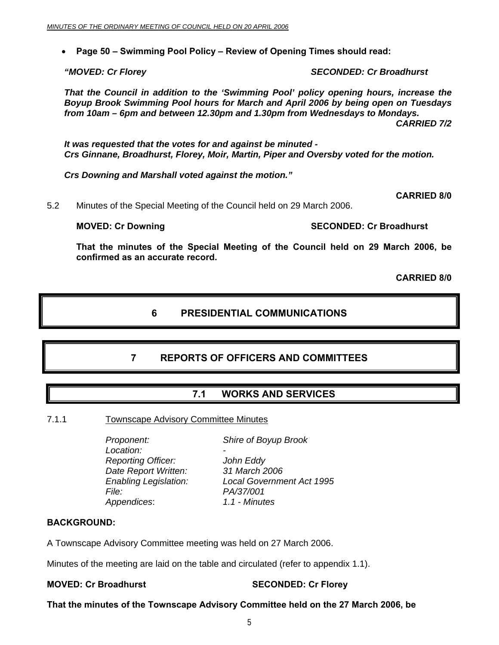• **Page 50 – Swimming Pool Policy – Review of Opening Times should read:** 

*"MOVED: Cr Florey SECONDED: Cr Broadhurst* 

*That the Council in addition to the 'Swimming Pool' policy opening hours, increase the Boyup Brook Swimming Pool hours for March and April 2006 by being open on Tuesdays from 10am – 6pm and between 12.30pm and 1.30pm from Wednesdays to Mondays. CARRIED 7/2* 

*It was requested that the votes for and against be minuted - Crs Ginnane, Broadhurst, Florey, Moir, Martin, Piper and Oversby voted for the motion.* 

*Crs Downing and Marshall voted against the motion."* 

**CARRIED 8/0** 

5.2 Minutes of the Special Meeting of the Council held on 29 March 2006.

**MOVED: Cr Downing Case 2018 10:00 SECONDED: Cr Broadhurst** 

**That the minutes of the Special Meeting of the Council held on 29 March 2006, be confirmed as an accurate record.** 

**CARRIED 8/0** 

#### **6 PRESIDENTIAL COMMUNICATIONS**

### **7 REPORTS OF OFFICERS AND COMMITTEES**

**7.1 WORKS AND SERVICES** 

#### 7.1.1 Townscape Advisory Committee Minutes

 *Proponent: Shire of Boyup Brook Location: - Reporting Officer: John Eddy Date Report Written: 31 March 2006 File: PA/37/001 Appendices*: *1.1 - Minutes* 

 *Enabling Legislation: Local Government Act 1995* 

#### **BACKGROUND:**

A Townscape Advisory Committee meeting was held on 27 March 2006.

Minutes of the meeting are laid on the table and circulated (refer to appendix 1.1).

#### **MOVED: Cr Broadhurst SECONDED: Cr Florey**

**That the minutes of the Townscape Advisory Committee held on the 27 March 2006, be**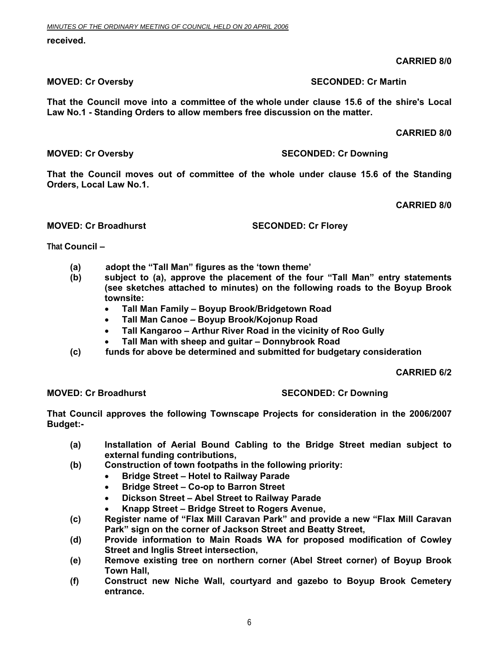#### **received.**

### **CARRIED 8/0**

#### **MOVED: Cr Oversby SECONDED: Cr Martin**

**That the Council move into a committee of the whole under clause 15.6 of the shire's Local Law No.1 - Standing Orders to allow members free discussion on the matter.** 

 **CARRIED 8/0** 

**MOVED: Cr Oversby SECONDED: Cr Downing 1999** 

**That the Council moves out of committee of the whole under clause 15.6 of the Standing Orders, Local Law No.1.** 

**CARRIED 8/0** 

#### **MOVED: Cr Broadhurst SECONDED: Cr Florey**

**That Council –** 

- **(a) adopt the "Tall Man" figures as the 'town theme'**
- **(b) subject to (a), approve the placement of the four "Tall Man" entry statements (see sketches attached to minutes) on the following roads to the Boyup Brook townsite:** 
	- **Tall Man Family Boyup Brook/Bridgetown Road**
	- **Tall Man Canoe Boyup Brook/Kojonup Road**
	- **Tall Kangaroo Arthur River Road in the vicinity of Roo Gully**
	- **Tall Man with sheep and guitar Donnybrook Road**
- **(c) funds for above be determined and submitted for budgetary consideration**

**CARRIED 6/2** 

#### **MOVED: Cr Broadhurst SECONDED: Cr Downing**

**That Council approves the following Townscape Projects for consideration in the 2006/2007 Budget:-** 

- **(a) Installation of Aerial Bound Cabling to the Bridge Street median subject to external funding contributions,**
- **(b) Construction of town footpaths in the following priority:** 
	- **Bridge Street Hotel to Railway Parade**
	- **Bridge Street Co-op to Barron Street**
	- **Dickson Street Abel Street to Railway Parade**
	- **Knapp Street Bridge Street to Rogers Avenue,**
- **(c) Register name of "Flax Mill Caravan Park" and provide a new "Flax Mill Caravan Park" sign on the corner of Jackson Street and Beatty Street,**
- **(d) Provide information to Main Roads WA for proposed modification of Cowley Street and Inglis Street intersection,**
- **(e) Remove existing tree on northern corner (Abel Street corner) of Boyup Brook Town Hall,**
- **(f) Construct new Niche Wall, courtyard and gazebo to Boyup Brook Cemetery entrance.**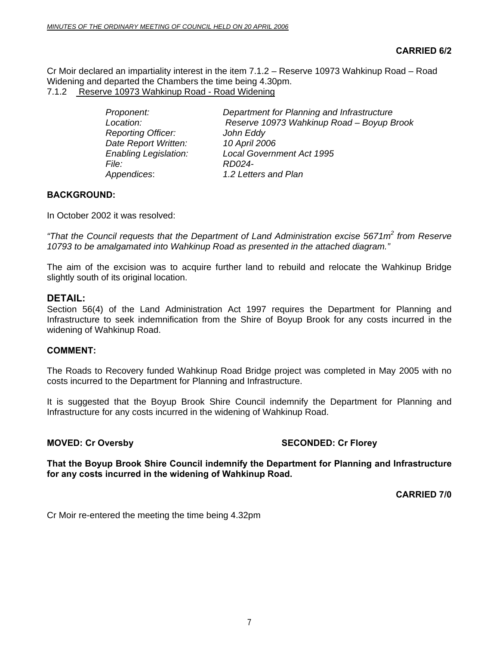Cr Moir declared an impartiality interest in the item 7.1.2 – Reserve 10973 Wahkinup Road – Road Widening and departed the Chambers the time being 4.30pm. 7.1.2 Reserve 10973 Wahkinup Road - Road Widening

| Proponent:                   | Department for Planning and Infrastructure |
|------------------------------|--------------------------------------------|
| Location:                    | Reserve 10973 Wahkinup Road - Boyup Brook  |
| <b>Reporting Officer:</b>    | John Eddy                                  |
| Date Report Written:         | 10 April 2006                              |
| <b>Enabling Legislation:</b> | <b>Local Government Act 1995</b>           |
| File: I                      | RD024-                                     |
| Appendices:                  | 1.2 Letters and Plan                       |

#### **BACKGROUND:**

In October 2002 it was resolved:

*"That the Council requests that the Department of Land Administration excise 5671m<sup>2</sup> from Reserve 10793 to be amalgamated into Wahkinup Road as presented in the attached diagram."* 

The aim of the excision was to acquire further land to rebuild and relocate the Wahkinup Bridge slightly south of its original location.

#### **DETAIL:**

Section 56(4) of the Land Administration Act 1997 requires the Department for Planning and Infrastructure to seek indemnification from the Shire of Boyup Brook for any costs incurred in the widening of Wahkinup Road.

#### **COMMENT:**

The Roads to Recovery funded Wahkinup Road Bridge project was completed in May 2005 with no costs incurred to the Department for Planning and Infrastructure.

It is suggested that the Boyup Brook Shire Council indemnify the Department for Planning and Infrastructure for any costs incurred in the widening of Wahkinup Road.

#### **MOVED: Cr Oversby SECONDED: Cr Florey**

**That the Boyup Brook Shire Council indemnify the Department for Planning and Infrastructure for any costs incurred in the widening of Wahkinup Road.** 

**CARRIED 7/0** 

Cr Moir re-entered the meeting the time being 4.32pm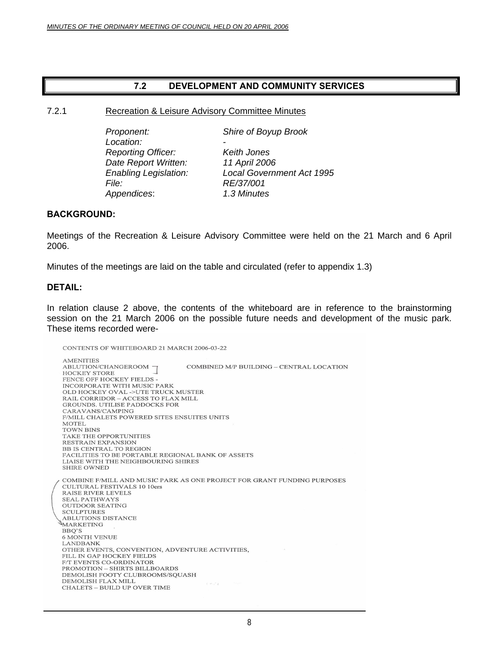#### **7.2 DEVELOPMENT AND COMMUNITY SERVICES**

#### 7.2.1 Recreation & Leisure Advisory Committee Minutes

Location:  *Reporting Officer: Keith Jones Date Report Written: 11 April 2006 File: RE/37/001 Appendices*: *1.3 Minutes*

*Proponent: Shire of Boyup Brook* 

*Enabling Legislation: Local Government Act 1995* 

#### **BACKGROUND:**

Meetings of the Recreation & Leisure Advisory Committee were held on the 21 March and 6 April 2006.

Minutes of the meetings are laid on the table and circulated (refer to appendix 1.3)

#### **DETAIL:**

In relation clause 2 above, the contents of the whiteboard are in reference to the brainstorming session on the 21 March 2006 on the possible future needs and development of the music park. These items recorded were-

CONTENTS OF WHITEBOARD 21 MARCH 2006-03-22

**AMENITIES** ABLUTION/CHANGEROOM COMBINED M/P BUILDING – CENTRAL LOCATION **HOCKEY STORE** FENCE OFF HOCKEY FIELDS -INCORPORATE WITH MUSIC PARK OLD HOCKEY OVAL ->UTE TRUCK MUSTER RAIL CORRIDOR - ACCESS TO FLAX MILL GROUNDS. UTILISE PADDOCKS FOR CARAVANS/CAMPING F/MILL CHALETS POWERED SITES ENSUITES UNITS **MOTEL TOWN BINS** TAKE THE OPPORTUNITIES RESTRAIN EXPANSION BB IS CENTRAL TO REGION FACILITIES TO BE PORTABLE REGIONAL BANK OF ASSETS LIAISE WITH THE NEIGHBOURING SHIRES **SHIRE OWNED** COMBINE F/MILL AND MUSIC PARK AS ONE PROJECT FOR GRANT FUNDING PURPOSES **CULTURAL FESTIVALS 10 10ers RAISE RIVER LEVELS SEAL PATHWAYS OUTDOOR SEATING SCULPTURES** ABLUTIONS DISTANCE MARKETING BBQ'S **6 MONTH VENUE LANDBANK** OTHER EVENTS, CONVENTION, ADVENTURE ACTIVITIES, FILL IN GAP HOCKEY FIELDS F/T EVENTS CO-ORDINATOR  $\mathsf{PROMOTION} - \mathsf{SHIRTS}\ \mathsf{BILLBOARDS}$ DEMOLISH FOOTY CLUBROOMS/SQUASH DEMOLISH FLAX MILL  $2 - 3 - 1$ CHALETS - BUILD UP OVER TIME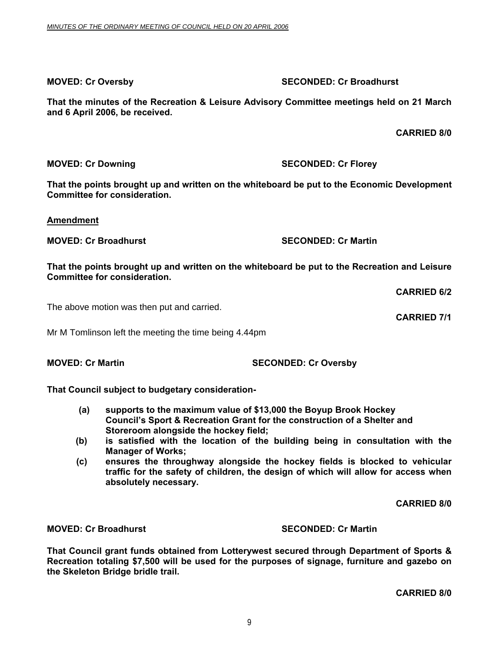**MOVED: Cr Oversby SECONDED: Cr Broadhurst** 

**That the minutes of the Recreation & Leisure Advisory Committee meetings held on 21 March and 6 April 2006, be received.** 

 **CARRIED 8/0** 

**That the points brought up and written on the whiteboard be put to the Economic Development Committee for consideration.** 

**Amendment**

**MOVED: Cr Broadhurst SECONDED: Cr Martin** 

**That the points brought up and written on the whiteboard be put to the Recreation and Leisure Committee for consideration.** 

**CARRIED 6/2** 

The above motion was then put and carried.

Mr M Tomlinson left the meeting the time being 4.44pm

**MOVED: Cr Martin SECONDED: Cr Oversby** 

**That Council subject to budgetary consideration-** 

- **(a) supports to the maximum value of \$13,000 the Boyup Brook Hockey Council's Sport & Recreation Grant for the construction of a Shelter and Storeroom alongside the hockey field;**
- **(b) is satisfied with the location of the building being in consultation with the Manager of Works;**
- **(c) ensures the throughway alongside the hockey fields is blocked to vehicular traffic for the safety of children, the design of which will allow for access when absolutely necessary.**

**CARRIED 8/0** 

**MOVED: Cr Broadhurst SECONDED: Cr Martin** 

**That Council grant funds obtained from Lotterywest secured through Department of Sports & Recreation totaling \$7,500 will be used for the purposes of signage, furniture and gazebo on the Skeleton Bridge bridle trail.** 

**CARRIED 8/0**

**CARRIED 7/1** 

**MOVED: Cr Downing Case Conducts Account SECONDED: Cr Florey**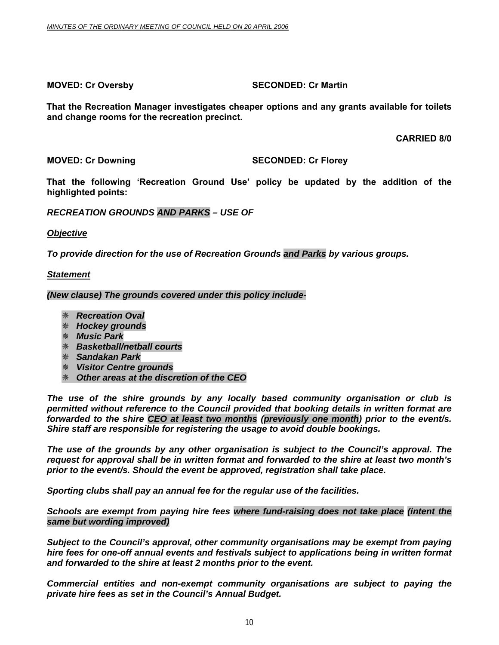#### **MOVED: Cr Oversby SECONDED: Cr Martin**

**That the Recreation Manager investigates cheaper options and any grants available for toilets and change rooms for the recreation precinct.** 

**CARRIED 8/0**

#### **MOVED: Cr Downing SECONDED: Cr Florey**

**That the following 'Recreation Ground Use' policy be updated by the addition of the highlighted points:** 

#### *RECREATION GROUNDS AND PARKS – USE OF*

*Objective*

*To provide direction for the use of Recreation Grounds and Parks by various groups.* 

#### *Statement*

*(New clause) The grounds covered under this policy include-* 

- *Recreation Oval*
- *Hockey grounds*
- *Music Park*
- *Basketball/netball courts*
- *Sandakan Park*
- *Visitor Centre grounds*
- *Other areas at the discretion of the CEO*

*The use of the shire grounds by any locally based community organisation or club is permitted without reference to the Council provided that booking details in written format are forwarded to the shire CEO at least two months (previously one month) prior to the event/s. Shire staff are responsible for registering the usage to avoid double bookings.* 

*The use of the grounds by any other organisation is subject to the Council's approval. The request for approval shall be in written format and forwarded to the shire at least two month's prior to the event/s. Should the event be approved, registration shall take place.* 

*Sporting clubs shall pay an annual fee for the regular use of the facilities.* 

*Schools are exempt from paying hire fees where fund-raising does not take place (intent the same but wording improved)* 

*Subject to the Council's approval, other community organisations may be exempt from paying hire fees for one-off annual events and festivals subject to applications being in written format and forwarded to the shire at least 2 months prior to the event.* 

*Commercial entities and non-exempt community organisations are subject to paying the private hire fees as set in the Council's Annual Budget.*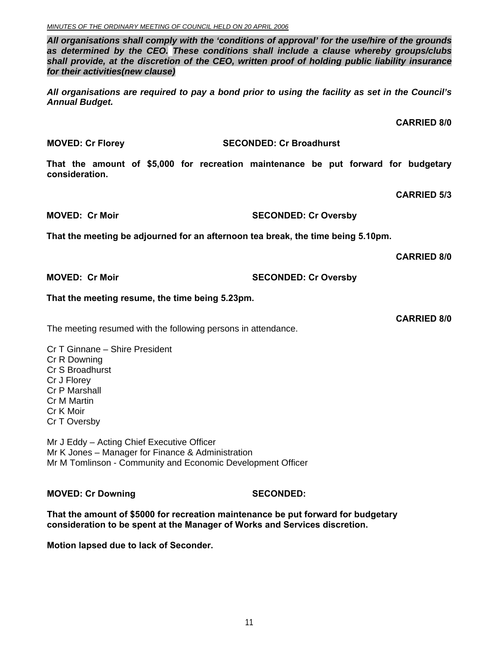*All organisations shall comply with the 'conditions of approval' for the use/hire of the grounds as determined by the CEO. These conditions shall include a clause whereby groups/clubs shall provide, at the discretion of the CEO, written proof of holding public liability insurance for their activities(new clause)* 

*All organisations are required to pay a bond prior to using the facility as set in the Council's Annual Budget.* 

**CARRIED 8/0** 

#### **MOVED: Cr Florey SECONDED: Cr Broadhurst**

**That the amount of \$5,000 for recreation maintenance be put forward for budgetary consideration.** 

**CARRIED 5/3** 

**MOVED: Cr Moir SECONDED: Cr Oversby** 

**That the meeting be adjourned for an afternoon tea break, the time being 5.10pm.** 

**CARRIED 8/0** 

**MOVED: Cr Moir SECONDED: Cr Oversby** 

#### **That the meeting resume, the time being 5.23pm.**

The meeting resumed with the following persons in attendance.

Cr T Ginnane – Shire President Cr R Downing Cr S Broadhurst Cr J Florey Cr P Marshall Cr M Martin Cr K Moir Cr T Oversby

Mr J Eddy – Acting Chief Executive Officer Mr K Jones – Manager for Finance & Administration Mr M Tomlinson - Community and Economic Development Officer

**MOVED: Cr Downing SECONDED:** 

**That the amount of \$5000 for recreation maintenance be put forward for budgetary consideration to be spent at the Manager of Works and Services discretion.** 

**Motion lapsed due to lack of Seconder.**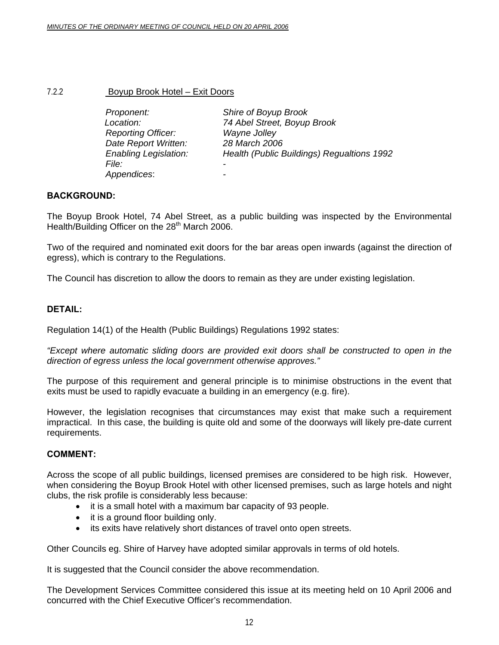#### 7.2.2 Boyup Brook Hotel – Exit Doors

| Proponent:                   | Shire of Boyup Brook                       |
|------------------------------|--------------------------------------------|
| Location:                    | 74 Abel Street, Boyup Brook                |
| <b>Reporting Officer:</b>    | Wayne Jolley                               |
| Date Report Written:         | 28 March 2006                              |
| <b>Enabling Legislation:</b> | Health (Public Buildings) Regualtions 1992 |
| <i>File:</i>                 |                                            |
| Appendices:                  |                                            |

#### **BACKGROUND:**

The Boyup Brook Hotel, 74 Abel Street, as a public building was inspected by the Environmental Health/Building Officer on the 28<sup>th</sup> March 2006.

Two of the required and nominated exit doors for the bar areas open inwards (against the direction of egress), which is contrary to the Regulations.

The Council has discretion to allow the doors to remain as they are under existing legislation.

#### **DETAIL:**

Regulation 14(1) of the Health (Public Buildings) Regulations 1992 states:

*"Except where automatic sliding doors are provided exit doors shall be constructed to open in the direction of egress unless the local government otherwise approves."* 

The purpose of this requirement and general principle is to minimise obstructions in the event that exits must be used to rapidly evacuate a building in an emergency (e.g. fire).

However, the legislation recognises that circumstances may exist that make such a requirement impractical. In this case, the building is quite old and some of the doorways will likely pre-date current requirements.

#### **COMMENT:**

Across the scope of all public buildings, licensed premises are considered to be high risk. However, when considering the Boyup Brook Hotel with other licensed premises, such as large hotels and night clubs, the risk profile is considerably less because:

- it is a small hotel with a maximum bar capacity of 93 people.
- it is a ground floor building only.
- its exits have relatively short distances of travel onto open streets.

Other Councils eg. Shire of Harvey have adopted similar approvals in terms of old hotels.

It is suggested that the Council consider the above recommendation.

The Development Services Committee considered this issue at its meeting held on 10 April 2006 and concurred with the Chief Executive Officer's recommendation.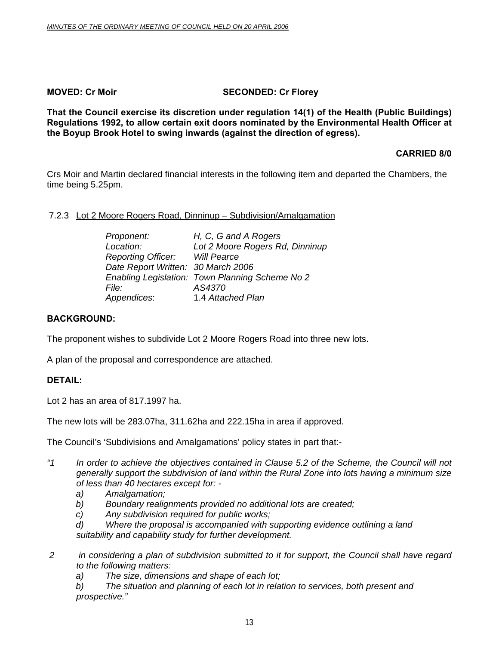#### **MOVED: Cr Moir** SECONDED: Cr Florey

**That the Council exercise its discretion under regulation 14(1) of the Health (Public Buildings) Regulations 1992, to allow certain exit doors nominated by the Environmental Health Officer at the Boyup Brook Hotel to swing inwards (against the direction of egress).** 

**CARRIED 8/0** 

Crs Moir and Martin declared financial interests in the following item and departed the Chambers, the time being 5.25pm.

#### 7.2.3 Lot 2 Moore Rogers Road, Dinninup – Subdivision/Amalgamation

| Proponent:                            | H, C, G and A Rogers                            |
|---------------------------------------|-------------------------------------------------|
| Location:                             | Lot 2 Moore Rogers Rd, Dinninup                 |
| <b>Reporting Officer:</b> Will Pearce |                                                 |
| Date Report Written: 30 March 2006    |                                                 |
|                                       | Enabling Legislation: Town Planning Scheme No 2 |
| <i>File:</i>                          | AS4370                                          |
| Appendices:                           | 1.4 Attached Plan                               |

#### **BACKGROUND:**

The proponent wishes to subdivide Lot 2 Moore Rogers Road into three new lots.

A plan of the proposal and correspondence are attached.

#### **DETAIL:**

Lot 2 has an area of 817.1997 ha.

The new lots will be 283.07ha, 311.62ha and 222.15ha in area if approved.

The Council's 'Subdivisions and Amalgamations' policy states in part that:-

- *"1 In order to achieve the objectives contained in Clause 5.2 of the Scheme, the Council will not generally support the subdivision of land within the Rural Zone into lots having a minimum size of less than 40 hectares except for:* 
	- *a) Amalgamation;*
	- *b) Boundary realignments provided no additional lots are created;*
	- *c) Any subdivision required for public works;*
	- *d) Where the proposal is accompanied with supporting evidence outlining a land suitability and capability study for further development.*
- *2 in considering a plan of subdivision submitted to it for support, the Council shall have regard to the following matters:* 
	- *a) The size, dimensions and shape of each lot;*
	- *b) The situation and planning of each lot in relation to services, both present and prospective."*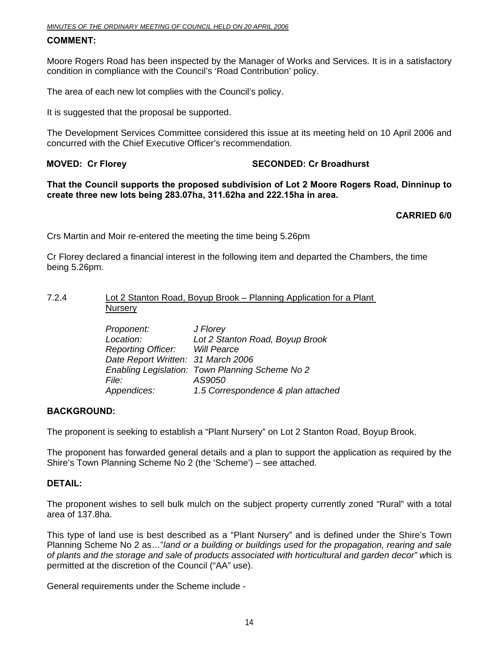#### **COMMENT:**

Moore Rogers Road has been inspected by the Manager of Works and Services. It is in a satisfactory condition in compliance with the Council's 'Road Contribution' policy.

The area of each new lot complies with the Council's policy.

It is suggested that the proposal be supported.

The Development Services Committee considered this issue at its meeting held on 10 April 2006 and concurred with the Chief Executive Officer's recommendation.

#### **MOVED: Cr Florey SECONDED: Cr Broadhurst**

**That the Council supports the proposed subdivision of Lot 2 Moore Rogers Road, Dinninup to create three new lots being 283.07ha, 311.62ha and 222.15ha in area.** 

#### **CARRIED 6/0**

Crs Martin and Moir re-entered the meeting the time being 5.26pm

Cr Florey declared a financial interest in the following item and departed the Chambers, the time being 5.26pm.

#### 7.2.4 Lot 2 Stanton Road, Boyup Brook – Planning Application for a Plant **Nursery**

| Proponent:                         | J Florey                                        |
|------------------------------------|-------------------------------------------------|
| Location:                          | Lot 2 Stanton Road, Boyup Brook                 |
| <b>Reporting Officer:</b>          | Will Pearce                                     |
| Date Report Written: 31 March 2006 |                                                 |
|                                    | Enabling Legislation: Town Planning Scheme No 2 |
| <i>File:</i>                       | AS9050                                          |
| Appendices:                        | 1.5 Correspondence & plan attached              |

#### **BACKGROUND:**

The proponent is seeking to establish a "Plant Nursery" on Lot 2 Stanton Road, Boyup Brook.

The proponent has forwarded general details and a plan to support the application as required by the Shire's Town Planning Scheme No 2 (the 'Scheme') – see attached.

#### **DETAIL:**

The proponent wishes to sell bulk mulch on the subject property currently zoned "Rural" with a total area of 137.8ha.

This type of land use is best described as a "Plant Nursery" and is defined under the Shire's Town Planning Scheme No 2 as…"*land or a building or buildings used for the propagation, rearing and sale of plants and the storage and sale of products associated with horticultural and garden decor" w*hich is permitted at the discretion of the Council ("AA" use).

General requirements under the Scheme include -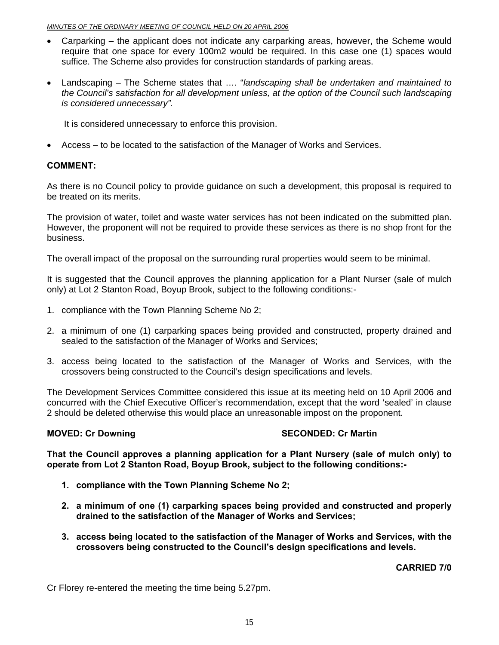- Carparking the applicant does not indicate any carparking areas, however, the Scheme would require that one space for every 100m2 would be required. In this case one (1) spaces would suffice. The Scheme also provides for construction standards of parking areas.
- Landscaping The Scheme states that …. "*landscaping shall be undertaken and maintained to the Council's satisfaction for all development unless, at the option of the Council such landscaping is considered unnecessary".*

It is considered unnecessary to enforce this provision.

• Access – to be located to the satisfaction of the Manager of Works and Services.

#### **COMMENT:**

As there is no Council policy to provide guidance on such a development, this proposal is required to be treated on its merits.

The provision of water, toilet and waste water services has not been indicated on the submitted plan. However, the proponent will not be required to provide these services as there is no shop front for the business.

The overall impact of the proposal on the surrounding rural properties would seem to be minimal.

It is suggested that the Council approves the planning application for a Plant Nurser (sale of mulch only) at Lot 2 Stanton Road, Boyup Brook, subject to the following conditions:-

- 1. compliance with the Town Planning Scheme No 2;
- 2. a minimum of one (1) carparking spaces being provided and constructed, property drained and sealed to the satisfaction of the Manager of Works and Services;
- 3. access being located to the satisfaction of the Manager of Works and Services, with the crossovers being constructed to the Council's design specifications and levels.

The Development Services Committee considered this issue at its meeting held on 10 April 2006 and concurred with the Chief Executive Officer's recommendation, except that the word 'sealed' in clause 2 should be deleted otherwise this would place an unreasonable impost on the proponent.

#### **MOVED: Cr Downing Case Conducts Account SECONDED: Cr Martin**

**That the Council approves a planning application for a Plant Nursery (sale of mulch only) to operate from Lot 2 Stanton Road, Boyup Brook, subject to the following conditions:-** 

- **1. compliance with the Town Planning Scheme No 2;**
- **2. a minimum of one (1) carparking spaces being provided and constructed and properly drained to the satisfaction of the Manager of Works and Services;**
- **3. access being located to the satisfaction of the Manager of Works and Services, with the crossovers being constructed to the Council's design specifications and levels.**

**CARRIED 7/0** 

Cr Florey re-entered the meeting the time being 5.27pm.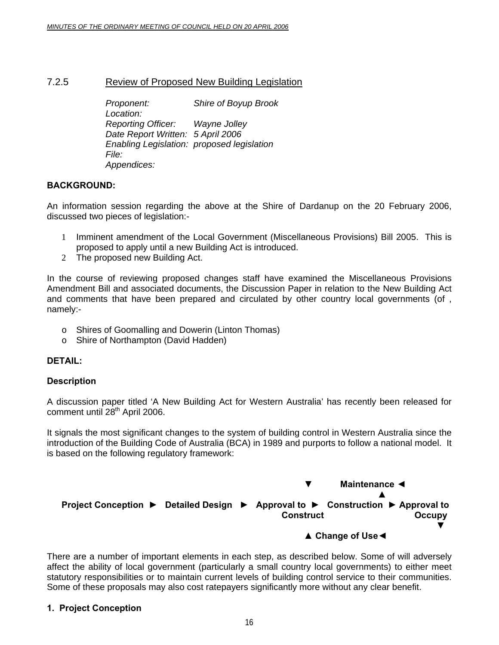#### 7.2.5 Review of Proposed New Building Legislation

 *Proponent: Shire of Boyup Brook Location: Reporting Officer: Wayne Jolley Date Report Written: 5 April 2006 Enabling Legislation: proposed legislation File: Appendices:* 

#### **BACKGROUND:**

An information session regarding the above at the Shire of Dardanup on the 20 February 2006, discussed two pieces of legislation:-

- 1 Imminent amendment of the Local Government (Miscellaneous Provisions) Bill 2005. This is proposed to apply until a new Building Act is introduced.
- 2 The proposed new Building Act.

In the course of reviewing proposed changes staff have examined the Miscellaneous Provisions Amendment Bill and associated documents, the Discussion Paper in relation to the New Building Act and comments that have been prepared and circulated by other country local governments (of , namely:-

- o Shires of Goomalling and Dowerin (Linton Thomas)
- o Shire of Northampton (David Hadden)

#### **DETAIL:**

#### **Description**

A discussion paper titled 'A New Building Act for Western Australia' has recently been released for comment until 28<sup>th</sup> April 2006.

It signals the most significant changes to the system of building control in Western Australia since the introduction of the Building Code of Australia (BCA) in 1989 and purports to follow a national model. It is based on the following regulatory framework:



There are a number of important elements in each step, as described below. Some of will adversely affect the ability of local government (particularly a small country local governments) to either meet statutory responsibilities or to maintain current levels of building control service to their communities. Some of these proposals may also cost ratepayers significantly more without any clear benefit.

#### **1. Project Conception**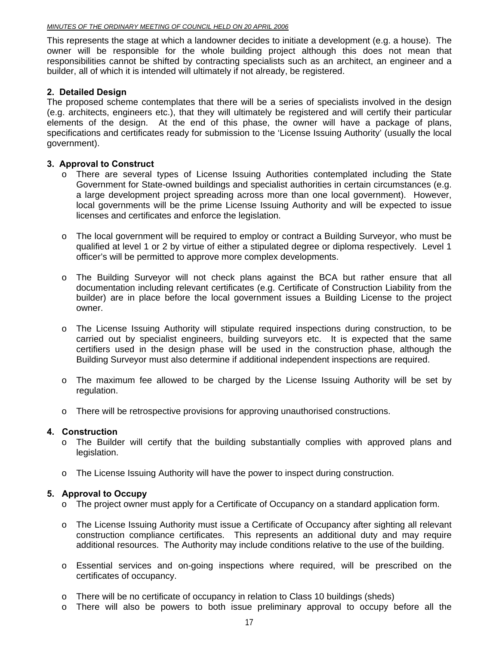This represents the stage at which a landowner decides to initiate a development (e.g. a house). The owner will be responsible for the whole building project although this does not mean that responsibilities cannot be shifted by contracting specialists such as an architect, an engineer and a builder, all of which it is intended will ultimately if not already, be registered.

#### **2. Detailed Design**

The proposed scheme contemplates that there will be a series of specialists involved in the design (e.g. architects, engineers etc.), that they will ultimately be registered and will certify their particular elements of the design. At the end of this phase, the owner will have a package of plans, specifications and certificates ready for submission to the 'License Issuing Authority' (usually the local government).

#### **3. Approval to Construct**

- o There are several types of License Issuing Authorities contemplated including the State Government for State-owned buildings and specialist authorities in certain circumstances (e.g. a large development project spreading across more than one local government). However, local governments will be the prime License Issuing Authority and will be expected to issue licenses and certificates and enforce the legislation.
- o The local government will be required to employ or contract a Building Surveyor, who must be qualified at level 1 or 2 by virtue of either a stipulated degree or diploma respectively. Level 1 officer's will be permitted to approve more complex developments.
- o The Building Surveyor will not check plans against the BCA but rather ensure that all documentation including relevant certificates (e.g. Certificate of Construction Liability from the builder) are in place before the local government issues a Building License to the project owner.
- o The License Issuing Authority will stipulate required inspections during construction, to be carried out by specialist engineers, building surveyors etc. It is expected that the same certifiers used in the design phase will be used in the construction phase, although the Building Surveyor must also determine if additional independent inspections are required.
- o The maximum fee allowed to be charged by the License Issuing Authority will be set by regulation.
- o There will be retrospective provisions for approving unauthorised constructions.

#### **4. Construction**

- o The Builder will certify that the building substantially complies with approved plans and legislation.
- o The License Issuing Authority will have the power to inspect during construction.

#### **5. Approval to Occupy**

- o The project owner must apply for a Certificate of Occupancy on a standard application form.
- o The License Issuing Authority must issue a Certificate of Occupancy after sighting all relevant construction compliance certificates. This represents an additional duty and may require additional resources. The Authority may include conditions relative to the use of the building.
- o Essential services and on-going inspections where required, will be prescribed on the certificates of occupancy.
- o There will be no certificate of occupancy in relation to Class 10 buildings (sheds)
- o There will also be powers to both issue preliminary approval to occupy before all the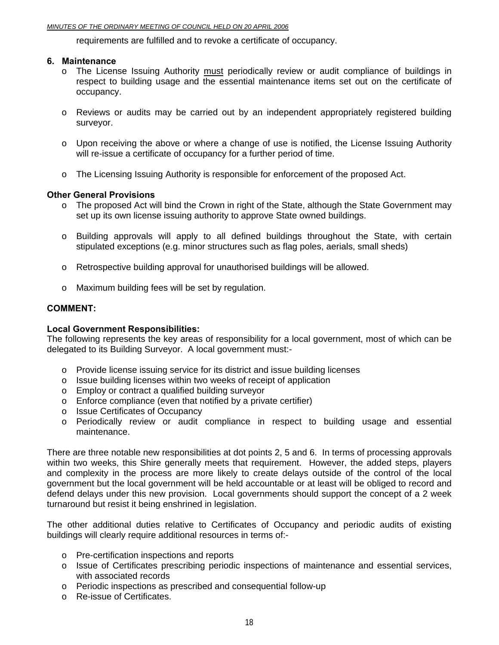#### *MINUTES OF THE ORDINARY MEETING OF COUNCIL HELD ON 20 APRIL 2006*

requirements are fulfilled and to revoke a certificate of occupancy.

#### **6. Maintenance**

- o The License Issuing Authority must periodically review or audit compliance of buildings in respect to building usage and the essential maintenance items set out on the certificate of occupancy.
- o Reviews or audits may be carried out by an independent appropriately registered building surveyor.
- $\circ$  Upon receiving the above or where a change of use is notified, the License Issuing Authority will re-issue a certificate of occupancy for a further period of time.
- o The Licensing Issuing Authority is responsible for enforcement of the proposed Act.

#### **Other General Provisions**

- o The proposed Act will bind the Crown in right of the State, although the State Government may set up its own license issuing authority to approve State owned buildings.
- o Building approvals will apply to all defined buildings throughout the State, with certain stipulated exceptions (e.g. minor structures such as flag poles, aerials, small sheds)
- o Retrospective building approval for unauthorised buildings will be allowed.
- o Maximum building fees will be set by regulation.

#### **COMMENT:**

#### **Local Government Responsibilities:**

The following represents the key areas of responsibility for a local government, most of which can be delegated to its Building Surveyor. A local government must:-

- o Provide license issuing service for its district and issue building licenses
- o Issue building licenses within two weeks of receipt of application
- o Employ or contract a qualified building surveyor
- o Enforce compliance (even that notified by a private certifier)
- o Issue Certificates of Occupancy
- o Periodically review or audit compliance in respect to building usage and essential maintenance.

There are three notable new responsibilities at dot points 2, 5 and 6. In terms of processing approvals within two weeks, this Shire generally meets that requirement. However, the added steps, players and complexity in the process are more likely to create delays outside of the control of the local government but the local government will be held accountable or at least will be obliged to record and defend delays under this new provision. Local governments should support the concept of a 2 week turnaround but resist it being enshrined in legislation.

The other additional duties relative to Certificates of Occupancy and periodic audits of existing buildings will clearly require additional resources in terms of:-

- o Pre-certification inspections and reports
- o Issue of Certificates prescribing periodic inspections of maintenance and essential services, with associated records
- o Periodic inspections as prescribed and consequential follow-up
- o Re-issue of Certificates.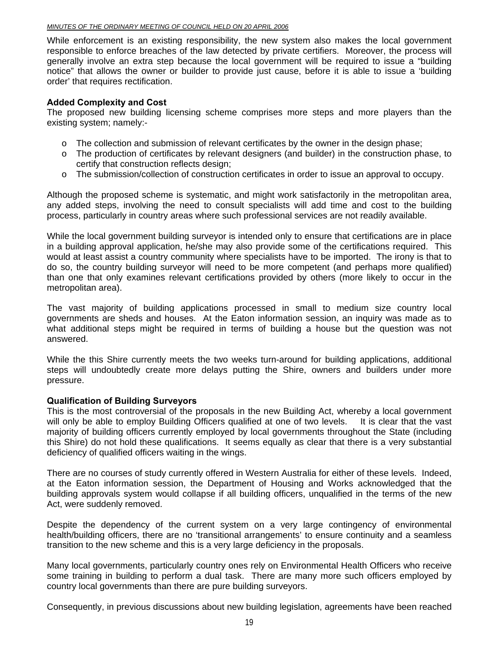#### *MINUTES OF THE ORDINARY MEETING OF COUNCIL HELD ON 20 APRIL 2006*

While enforcement is an existing responsibility, the new system also makes the local government responsible to enforce breaches of the law detected by private certifiers. Moreover, the process will generally involve an extra step because the local government will be required to issue a "building notice" that allows the owner or builder to provide just cause, before it is able to issue a 'building order' that requires rectification.

#### **Added Complexity and Cost**

The proposed new building licensing scheme comprises more steps and more players than the existing system; namely:-

- $\circ$  The collection and submission of relevant certificates by the owner in the design phase;
- o The production of certificates by relevant designers (and builder) in the construction phase, to certify that construction reflects design;
- o The submission/collection of construction certificates in order to issue an approval to occupy.

Although the proposed scheme is systematic, and might work satisfactorily in the metropolitan area, any added steps, involving the need to consult specialists will add time and cost to the building process, particularly in country areas where such professional services are not readily available.

While the local government building surveyor is intended only to ensure that certifications are in place in a building approval application, he/she may also provide some of the certifications required. This would at least assist a country community where specialists have to be imported. The irony is that to do so, the country building surveyor will need to be more competent (and perhaps more qualified) than one that only examines relevant certifications provided by others (more likely to occur in the metropolitan area).

The vast majority of building applications processed in small to medium size country local governments are sheds and houses. At the Eaton information session, an inquiry was made as to what additional steps might be required in terms of building a house but the question was not answered.

While the this Shire currently meets the two weeks turn-around for building applications, additional steps will undoubtedly create more delays putting the Shire, owners and builders under more pressure.

#### **Qualification of Building Surveyors**

This is the most controversial of the proposals in the new Building Act, whereby a local government will only be able to employ Building Officers qualified at one of two levels. It is clear that the vast majority of building officers currently employed by local governments throughout the State (including this Shire) do not hold these qualifications. It seems equally as clear that there is a very substantial deficiency of qualified officers waiting in the wings.

There are no courses of study currently offered in Western Australia for either of these levels. Indeed, at the Eaton information session, the Department of Housing and Works acknowledged that the building approvals system would collapse if all building officers, unqualified in the terms of the new Act, were suddenly removed.

Despite the dependency of the current system on a very large contingency of environmental health/building officers, there are no 'transitional arrangements' to ensure continuity and a seamless transition to the new scheme and this is a very large deficiency in the proposals.

Many local governments, particularly country ones rely on Environmental Health Officers who receive some training in building to perform a dual task. There are many more such officers employed by country local governments than there are pure building surveyors.

Consequently, in previous discussions about new building legislation, agreements have been reached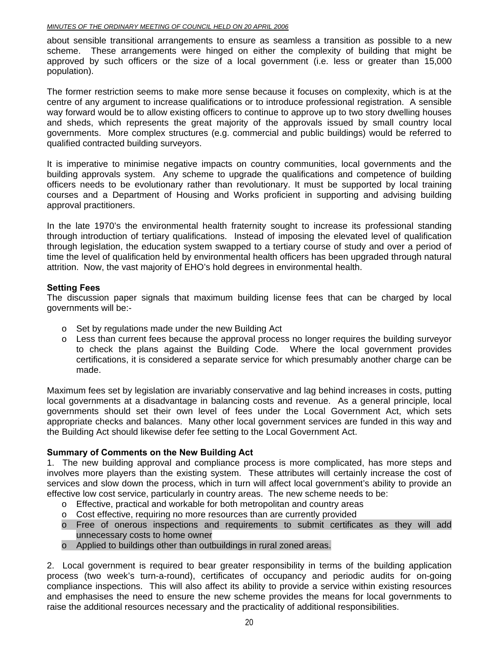about sensible transitional arrangements to ensure as seamless a transition as possible to a new scheme. These arrangements were hinged on either the complexity of building that might be approved by such officers or the size of a local government (i.e. less or greater than 15,000 population).

The former restriction seems to make more sense because it focuses on complexity, which is at the centre of any argument to increase qualifications or to introduce professional registration. A sensible way forward would be to allow existing officers to continue to approve up to two story dwelling houses and sheds, which represents the great majority of the approvals issued by small country local governments. More complex structures (e.g. commercial and public buildings) would be referred to qualified contracted building surveyors.

It is imperative to minimise negative impacts on country communities, local governments and the building approvals system. Any scheme to upgrade the qualifications and competence of building officers needs to be evolutionary rather than revolutionary. It must be supported by local training courses and a Department of Housing and Works proficient in supporting and advising building approval practitioners.

In the late 1970's the environmental health fraternity sought to increase its professional standing through introduction of tertiary qualifications. Instead of imposing the elevated level of qualification through legislation, the education system swapped to a tertiary course of study and over a period of time the level of qualification held by environmental health officers has been upgraded through natural attrition. Now, the vast majority of EHO's hold degrees in environmental health.

#### **Setting Fees**

The discussion paper signals that maximum building license fees that can be charged by local governments will be:-

- o Set by regulations made under the new Building Act
- $\circ$  Less than current fees because the approval process no longer requires the building surveyor to check the plans against the Building Code. Where the local government provides certifications, it is considered a separate service for which presumably another charge can be made.

Maximum fees set by legislation are invariably conservative and lag behind increases in costs, putting local governments at a disadvantage in balancing costs and revenue. As a general principle, local governments should set their own level of fees under the Local Government Act, which sets appropriate checks and balances. Many other local government services are funded in this way and the Building Act should likewise defer fee setting to the Local Government Act.

#### **Summary of Comments on the New Building Act**

1. The new building approval and compliance process is more complicated, has more steps and involves more players than the existing system. These attributes will certainly increase the cost of services and slow down the process, which in turn will affect local government's ability to provide an effective low cost service, particularly in country areas. The new scheme needs to be:

- o Effective, practical and workable for both metropolitan and country areas
- $\circ$  Cost effective, requiring no more resources than are currently provided
- o Free of onerous inspections and requirements to submit certificates as they will add unnecessary costs to home owner
- o Applied to buildings other than outbuildings in rural zoned areas.

2. Local government is required to bear greater responsibility in terms of the building application process (two week's turn-a-round), certificates of occupancy and periodic audits for on-going compliance inspections. This will also affect its ability to provide a service within existing resources and emphasises the need to ensure the new scheme provides the means for local governments to raise the additional resources necessary and the practicality of additional responsibilities.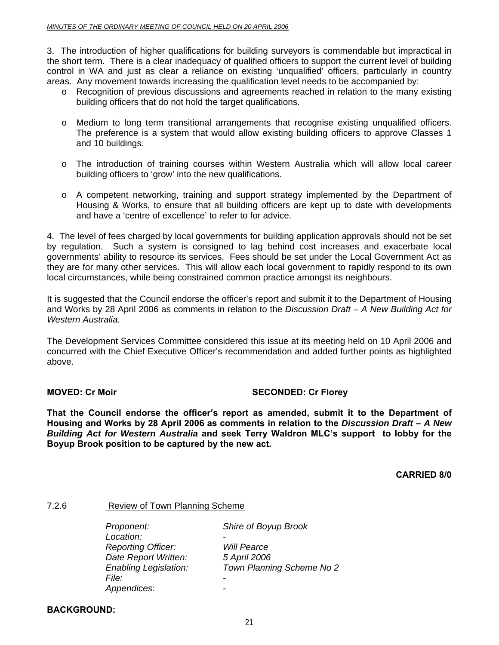3. The introduction of higher qualifications for building surveyors is commendable but impractical in the short term. There is a clear inadequacy of qualified officers to support the current level of building control in WA and just as clear a reliance on existing 'unqualified' officers, particularly in country areas. Any movement towards increasing the qualification level needs to be accompanied by:

- o Recognition of previous discussions and agreements reached in relation to the many existing building officers that do not hold the target qualifications.
- o Medium to long term transitional arrangements that recognise existing unqualified officers. The preference is a system that would allow existing building officers to approve Classes 1 and 10 buildings.
- o The introduction of training courses within Western Australia which will allow local career building officers to 'grow' into the new qualifications.
- o A competent networking, training and support strategy implemented by the Department of Housing & Works, to ensure that all building officers are kept up to date with developments and have a 'centre of excellence' to refer to for advice.

4. The level of fees charged by local governments for building application approvals should not be set by regulation. Such a system is consigned to lag behind cost increases and exacerbate local governments' ability to resource its services. Fees should be set under the Local Government Act as they are for many other services. This will allow each local government to rapidly respond to its own local circumstances, while being constrained common practice amongst its neighbours.

It is suggested that the Council endorse the officer's report and submit it to the Department of Housing and Works by 28 April 2006 as comments in relation to the *Discussion Draft – A New Building Act for Western Australia.* 

The Development Services Committee considered this issue at its meeting held on 10 April 2006 and concurred with the Chief Executive Officer's recommendation and added further points as highlighted above.

#### **MOVED: Cr Moir** SECONDED: Cr Florey

**That the Council endorse the officer's report as amended, submit it to the Department of Housing and Works by 28 April 2006 as comments in relation to the** *Discussion Draft – A New Building Act for Western Australia* **and seek Terry Waldron MLC's support to lobby for the Boyup Brook position to be captured by the new act.** 

**CARRIED 8/0** 

#### 7.2.6 Review of Town Planning Scheme

 *Proponent: Shire of Boyup Brook Location: - Reporting Officer: Will Pearce Date Report Written: 5 April 2006 Enabling Legislation: Town Planning Scheme No 2 File: File: PHP Appendices*: *-* 

#### **BACKGROUND:**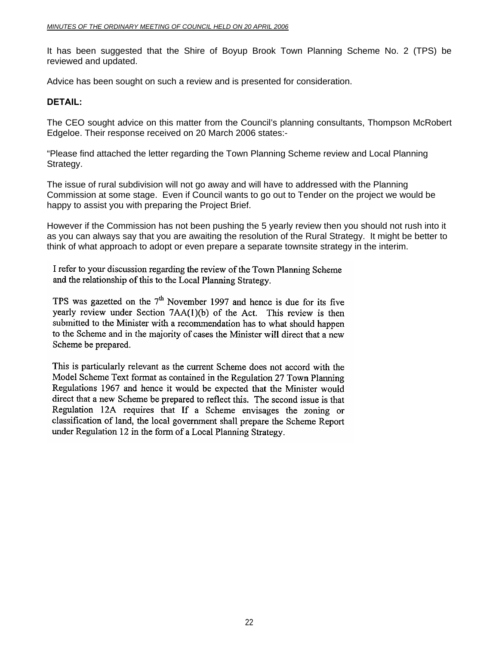It has been suggested that the Shire of Boyup Brook Town Planning Scheme No. 2 (TPS) be reviewed and updated.

Advice has been sought on such a review and is presented for consideration.

#### **DETAIL:**

The CEO sought advice on this matter from the Council's planning consultants, Thompson McRobert Edgeloe. Their response received on 20 March 2006 states:-

"Please find attached the letter regarding the Town Planning Scheme review and Local Planning Strategy.

The issue of rural subdivision will not go away and will have to addressed with the Planning Commission at some stage. Even if Council wants to go out to Tender on the project we would be happy to assist you with preparing the Project Brief.

However if the Commission has not been pushing the 5 yearly review then you should not rush into it as you can always say that you are awaiting the resolution of the Rural Strategy. It might be better to think of what approach to adopt or even prepare a separate townsite strategy in the interim.

I refer to your discussion regarding the review of the Town Planning Scheme and the relationship of this to the Local Planning Strategy.

TPS was gazetted on the  $7<sup>th</sup>$  November 1997 and hence is due for its five yearly review under Section 7AA(1)(b) of the Act. This review is then submitted to the Minister with a recommendation has to what should happen to the Scheme and in the majority of cases the Minister will direct that a new Scheme be prepared.

This is particularly relevant as the current Scheme does not accord with the Model Scheme Text format as contained in the Regulation 27 Town Planning Regulations 1967 and hence it would be expected that the Minister would direct that a new Scheme be prepared to reflect this. The second issue is that Regulation 12A requires that If a Scheme envisages the zoning or classification of land, the local government shall prepare the Scheme Report under Regulation 12 in the form of a Local Planning Strategy.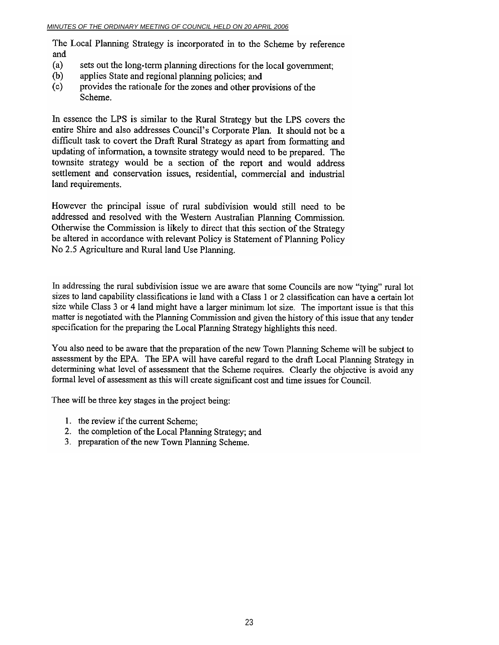The Local Planning Strategy is incorporated in to the Scheme by reference and

- $(a)$ sets out the long-term planning directions for the local government.
- $(b)$ applies State and regional planning policies; and
- $(c)$ provides the rationale for the zones and other provisions of the Scheme.

In essence the LPS is similar to the Rural Strategy but the LPS covers the entire Shire and also addresses Council's Corporate Plan. It should not be a difficult task to covert the Draft Rural Strategy as apart from formatting and updating of information, a townsite strategy would need to be prepared. The townsite strategy would be a section of the report and would address settlement and conservation issues, residential, commercial and industrial land requirements.

However the principal issue of rural subdivision would still need to be addressed and resolved with the Western Australian Planning Commission. Otherwise the Commission is likely to direct that this section of the Strategy be altered in accordance with relevant Policy is Statement of Planning Policy No 2.5 Agriculture and Rural land Use Planning.

In addressing the rural subdivision issue we are aware that some Councils are now "tying" rural lot sizes to land capability classifications ie land with a Class 1 or 2 classification can have a certain lot size while Class 3 or 4 land might have a larger minimum lot size. The important issue is that this matter is negotiated with the Planning Commission and given the history of this issue that any tender specification for the preparing the Local Planning Strategy highlights this need.

You also need to be aware that the preparation of the new Town Planning Scheme will be subject to assessment by the EPA. The EPA will have careful regard to the draft Local Planning Strategy in determining what level of assessment that the Scheme requires. Clearly the objective is avoid any formal level of assessment as this will create significant cost and time issues for Council.

Thee will be three key stages in the project being:

- 1. the review if the current Scheme;
- 2. the completion of the Local Planning Strategy; and
- 3. preparation of the new Town Planning Scheme.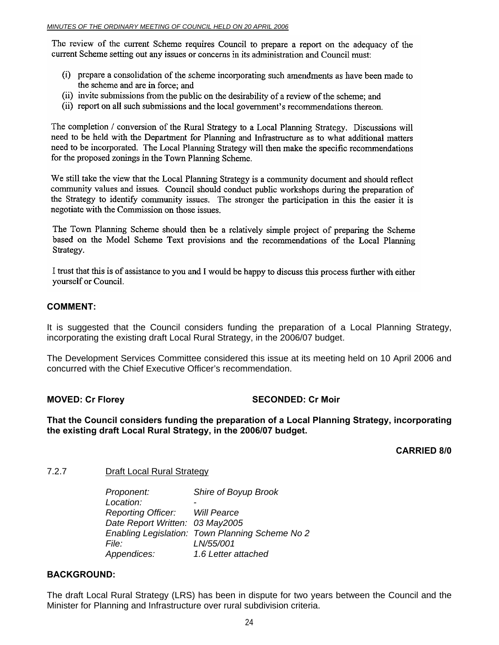The review of the current Scheme requires Council to prepare a report on the adequacy of the current Scheme setting out any issues or concerns in its administration and Council must:

- (i) prepare a consolidation of the scheme incorporating such amendments as have been made to the scheme and are in force; and
- (ii) invite submissions from the public on the desirability of a review of the scheme; and
- (ii) report on all such submissions and the local government's recommendations thereon.

The completion / conversion of the Rural Strategy to a Local Planning Strategy. Discussions will need to be held with the Department for Planning and Infrastructure as to what additional matters need to be incorporated. The Local Planning Strategy will then make the specific recommendations for the proposed zonings in the Town Planning Scheme.

We still take the view that the Local Planning Strategy is a community document and should reflect community values and issues. Council should conduct public workshops during the preparation of the Strategy to identify community issues. The stronger the participation in this the easier it is negotiate with the Commission on those issues.

The Town Planning Scheme should then be a relatively simple project of preparing the Scheme based on the Model Scheme Text provisions and the recommendations of the Local Planning Strategy.

I trust that this is of assistance to you and I would be happy to discuss this process further with either vourself or Council.

#### **COMMENT:**

It is suggested that the Council considers funding the preparation of a Local Planning Strategy, incorporating the existing draft Local Rural Strategy, in the 2006/07 budget.

The Development Services Committee considered this issue at its meeting held on 10 April 2006 and concurred with the Chief Executive Officer's recommendation.

#### **MOVED: Cr Florey SECONDED: Cr Moir**

**That the Council considers funding the preparation of a Local Planning Strategy, incorporating the existing draft Local Rural Strategy, in the 2006/07 budget.** 

**CARRIED 8/0** 

#### 7.2.7 Draft Local Rural Strategy

 *Proponent: Shire of Boyup Brook Location: - Reporting Officer: Will Pearce Date Report Written: 03 May2005 Enabling Legislation: Town Planning Scheme No 2 File: LN/55/001 Appendices: 1.6 Letter attached* 

#### **BACKGROUND:**

The draft Local Rural Strategy (LRS) has been in dispute for two years between the Council and the Minister for Planning and Infrastructure over rural subdivision criteria.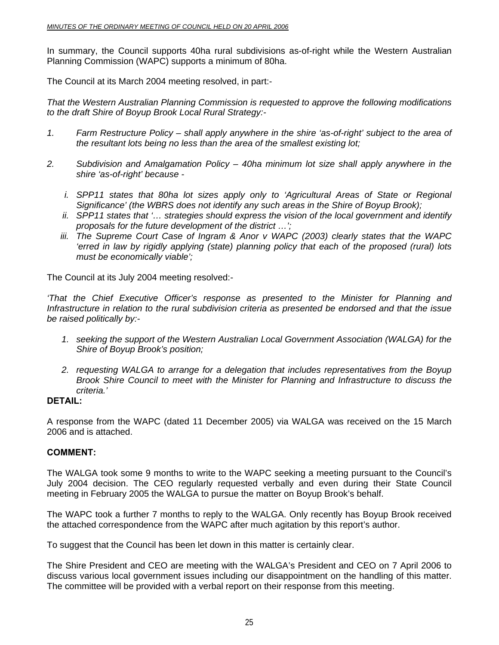In summary, the Council supports 40ha rural subdivisions as-of-right while the Western Australian Planning Commission (WAPC) supports a minimum of 80ha.

The Council at its March 2004 meeting resolved, in part:-

*That the Western Australian Planning Commission is requested to approve the following modifications to the draft Shire of Boyup Brook Local Rural Strategy:-* 

- *1. Farm Restructure Policy shall apply anywhere in the shire 'as-of-right' subject to the area of the resultant lots being no less than the area of the smallest existing lot;*
- *2. Subdivision and Amalgamation Policy 40ha minimum lot size shall apply anywhere in the shire 'as-of-right' because* 
	- *i. SPP11 states that 80ha lot sizes apply only to 'Agricultural Areas of State or Regional Significance' (the WBRS does not identify any such areas in the Shire of Boyup Brook);*
	- *ii. SPP11 states that '… strategies should express the vision of the local government and identify proposals for the future development of the district …';*
	- *iii. The Supreme Court Case of Ingram & Anor v WAPC (2003) clearly states that the WAPC 'erred in law by rigidly applying (state) planning policy that each of the proposed (rural) lots must be economically viable';*

The Council at its July 2004 meeting resolved:-

*'That the Chief Executive Officer's response as presented to the Minister for Planning and Infrastructure in relation to the rural subdivision criteria as presented be endorsed and that the issue be raised politically by:-* 

- *1. seeking the support of the Western Australian Local Government Association (WALGA) for the Shire of Boyup Brook's position;*
- *2. requesting WALGA to arrange for a delegation that includes representatives from the Boyup Brook Shire Council to meet with the Minister for Planning and Infrastructure to discuss the criteria.'*

#### **DETAIL:**

A response from the WAPC (dated 11 December 2005) via WALGA was received on the 15 March 2006 and is attached.

#### **COMMENT:**

The WALGA took some 9 months to write to the WAPC seeking a meeting pursuant to the Council's July 2004 decision. The CEO regularly requested verbally and even during their State Council meeting in February 2005 the WALGA to pursue the matter on Boyup Brook's behalf.

The WAPC took a further 7 months to reply to the WALGA. Only recently has Boyup Brook received the attached correspondence from the WAPC after much agitation by this report's author.

To suggest that the Council has been let down in this matter is certainly clear.

The Shire President and CEO are meeting with the WALGA's President and CEO on 7 April 2006 to discuss various local government issues including our disappointment on the handling of this matter. The committee will be provided with a verbal report on their response from this meeting.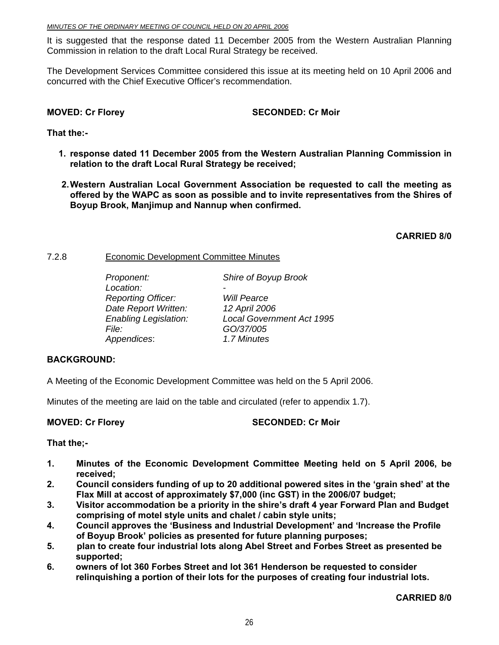It is suggested that the response dated 11 December 2005 from the Western Australian Planning Commission in relation to the draft Local Rural Strategy be received.

The Development Services Committee considered this issue at its meeting held on 10 April 2006 and concurred with the Chief Executive Officer's recommendation.

#### **MOVED: Cr Florey SECONDED: Cr Moir**

#### **That the:-**

- **1. response dated 11 December 2005 from the Western Australian Planning Commission in relation to the draft Local Rural Strategy be received;**
- **2. Western Australian Local Government Association be requested to call the meeting as offered by the WAPC as soon as possible and to invite representatives from the Shires of Boyup Brook, Manjimup and Nannup when confirmed.**

**CARRIED 8/0** 

#### 7.2.8 Economic Development Committee Minutes

| Proponent:                   | Shire of Boyup Brook             |
|------------------------------|----------------------------------|
| Location:                    |                                  |
| <b>Reporting Officer:</b>    | <b>Will Pearce</b>               |
| Date Report Written:         | 12 April 2006                    |
| <b>Enabling Legislation:</b> | <b>Local Government Act 1995</b> |
| <i>File:</i>                 | GO/37/005                        |
| Appendices:                  | 1.7 Minutes                      |

### **BACKGROUND:**

A Meeting of the Economic Development Committee was held on the 5 April 2006.

Minutes of the meeting are laid on the table and circulated (refer to appendix 1.7).

#### **MOVED: Cr Florey SECONDED: Cr Moir**

#### **That the;-**

- **1. Minutes of the Economic Development Committee Meeting held on 5 April 2006, be received;**
- **2. Council considers funding of up to 20 additional powered sites in the 'grain shed' at the Flax Mill at accost of approximately \$7,000 (inc GST) in the 2006/07 budget;**
- **3. Visitor accommodation be a priority in the shire's draft 4 year Forward Plan and Budget comprising of motel style units and chalet / cabin style units;**
- **4. Council approves the 'Business and Industrial Development' and 'Increase the Profile of Boyup Brook' policies as presented for future planning purposes;**
- **5. plan to create four industrial lots along Abel Street and Forbes Street as presented be supported;**
- **6. owners of lot 360 Forbes Street and lot 361 Henderson be requested to consider relinquishing a portion of their lots for the purposes of creating four industrial lots.**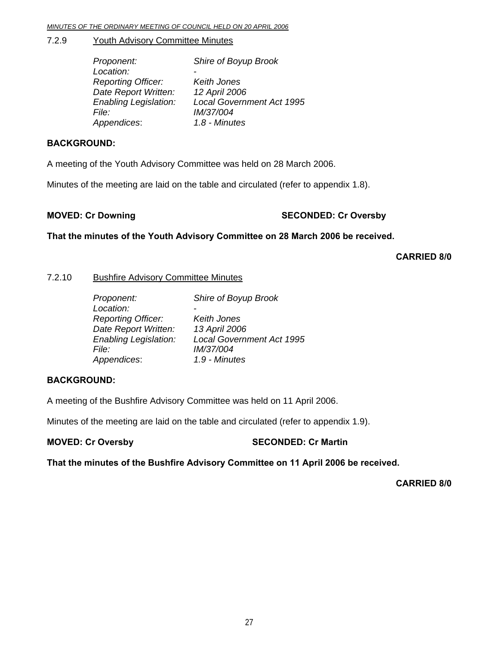#### 7.2.9 Youth Advisory Committee Minutes

| Proponent:                   | Shire of Boyup Brook             |
|------------------------------|----------------------------------|
| Location:                    |                                  |
| <b>Reporting Officer:</b>    | Keith Jones                      |
| Date Report Written:         | 12 April 2006                    |
| <b>Enabling Legislation:</b> | <b>Local Government Act 1995</b> |
| <i>File:</i>                 | IM/37/004                        |
| Appendices:                  | 1.8 - Minutes                    |

#### **BACKGROUND:**

A meeting of the Youth Advisory Committee was held on 28 March 2006.

Minutes of the meeting are laid on the table and circulated (refer to appendix 1.8).

#### **MOVED: Cr Downing Case of Cr Oversby SECONDED: Cr Oversby**

**That the minutes of the Youth Advisory Committee on 28 March 2006 be received.** 

**CARRIED 8/0** 

#### 7.2.10 Bushfire Advisory Committee Minutes

| Proponent:                   | Shire of Boyup Brook             |
|------------------------------|----------------------------------|
| Location:                    |                                  |
| <b>Reporting Officer:</b>    | Keith Jones                      |
| Date Report Written:         | 13 April 2006                    |
| <b>Enabling Legislation:</b> | <b>Local Government Act 1995</b> |
| <i>File:</i>                 | IM/37/004                        |
| Appendices:                  | 1.9 - Minutes                    |

#### **BACKGROUND:**

A meeting of the Bushfire Advisory Committee was held on 11 April 2006.

Minutes of the meeting are laid on the table and circulated (refer to appendix 1.9).

**MOVED: Cr Oversby SECONDED: Cr Martin** 

**That the minutes of the Bushfire Advisory Committee on 11 April 2006 be received.**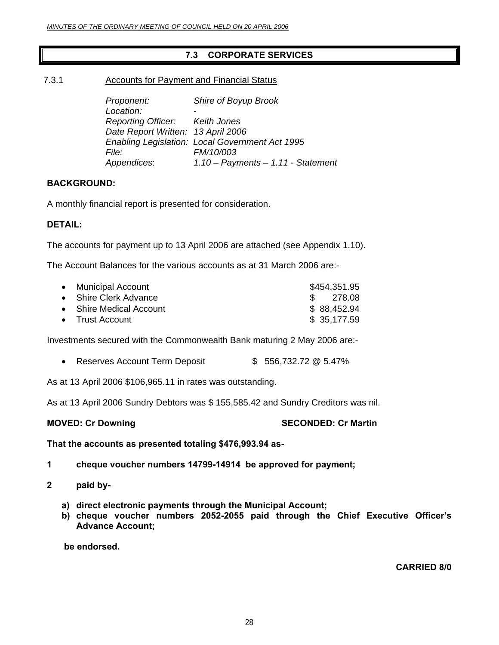### **7.3 CORPORATE SERVICES**

7.3.1 Accounts for Payment and Financial Status

*Proponent: Shire of Boyup Brook*  Location:  *Reporting Officer: Keith Jones Date Report Written: 13 April 2006 Enabling Legislation: Local Government Act 1995 File: FM/10/003 Appendices*: *1.10 – Payments – 1.11 - Statement* 

#### **BACKGROUND:**

A monthly financial report is presented for consideration.

#### **DETAIL:**

The accounts for payment up to 13 April 2006 are attached (see Appendix 1.10).

The Account Balances for the various accounts as at 31 March 2006 are:-

| • Municipal Account     | \$454,351.95 |
|-------------------------|--------------|
| • Shire Clerk Advance   | \$ 278.08    |
| • Shire Medical Account | \$88,452.94  |
| • Trust Account         | \$35,177.59  |

Investments secured with the Commonwealth Bank maturing 2 May 2006 are:-

• Reserves Account Term Deposit  $$56,732.72 \text{ @ } 5.47\%$ 

As at 13 April 2006 \$106,965.11 in rates was outstanding.

As at 13 April 2006 Sundry Debtors was \$ 155,585.42 and Sundry Creditors was nil.

**MOVED: Cr Downing Case Conducts Account SECONDED: Cr Martin** 

**That the accounts as presented totaling \$476,993.94 as-**

- **1 cheque voucher numbers 14799-14914 be approved for payment;**
- **2 paid by**
	- **a) direct electronic payments through the Municipal Account;**
	- **b) cheque voucher numbers 2052-2055 paid through the Chief Executive Officer's Advance Account;**

 **be endorsed.**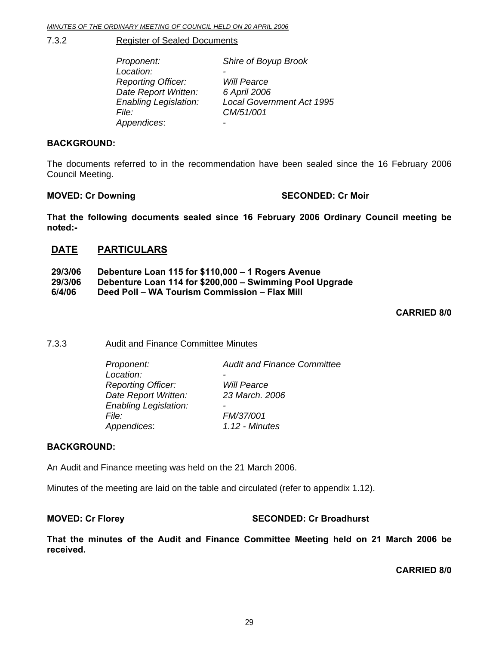7.3.2 Register of Sealed Documents

| Proponent:                   | Shire of Boyup Brook             |
|------------------------------|----------------------------------|
| Location:                    |                                  |
| <b>Reporting Officer:</b>    | <b>Will Pearce</b>               |
| Date Report Written:         | 6 April 2006                     |
| <b>Enabling Legislation:</b> | <b>Local Government Act 1995</b> |
| File:                        | CM/51/001                        |
| Appendices:                  |                                  |

#### **BACKGROUND:**

The documents referred to in the recommendation have been sealed since the 16 February 2006 Council Meeting.

#### **MOVED: Cr Downing Case Conducts Account SECONDED: Cr Moir**

**That the following documents sealed since 16 February 2006 Ordinary Council meeting be noted:-** 

#### **DATE PARTICULARS**

| 29/3/06 | Debenture Loan 115 for \$110,000 - 1 Rogers Avenue       |
|---------|----------------------------------------------------------|
| 29/3/06 | Debenture Loan 114 for \$200,000 - Swimming Pool Upgrade |
| 6/4/06  | Deed Poll - WA Tourism Commission - Flax Mill            |

**CARRIED 8/0** 

#### 7.3.3 Audit and Finance Committee Minutes

| Proponent:                   | <b>Audit and Finance Committee</b> |
|------------------------------|------------------------------------|
| Location:                    |                                    |
| <b>Reporting Officer:</b>    | <b>Will Pearce</b>                 |
| Date Report Written:         | 23 March. 2006                     |
| <b>Enabling Legislation:</b> |                                    |
| File:                        | FM/37/001                          |
| Appendices:                  | 1.12 - Minutes                     |
|                              |                                    |

#### **BACKGROUND:**

An Audit and Finance meeting was held on the 21 March 2006.

Minutes of the meeting are laid on the table and circulated (refer to appendix 1.12).

#### **MOVED: Cr Florey SECONDED: Cr Broadhurst**

**That the minutes of the Audit and Finance Committee Meeting held on 21 March 2006 be received.**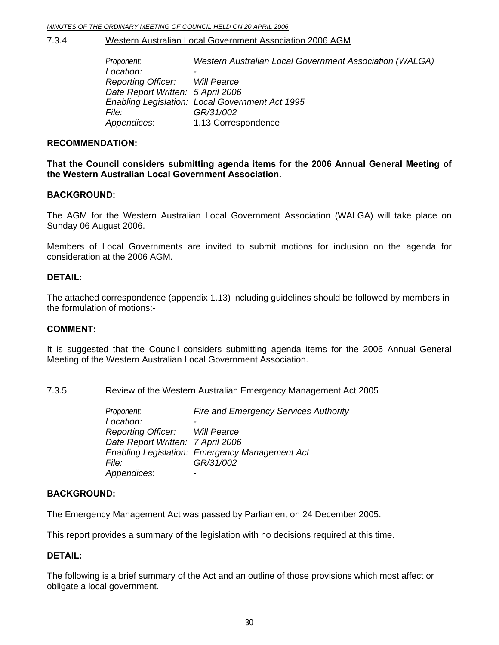#### 7.3.4 Western Australian Local Government Association 2006 AGM

*Proponent: Western Australian Local Government Association (WALGA) Location: - Reporting Officer: Will Pearce Date Report Written: 5 April 2006 Enabling Legislation: Local Government Act 1995 File: GR/31/002 Appendices*: 1.13 Correspondence

#### **RECOMMENDATION:**

**That the Council considers submitting agenda items for the 2006 Annual General Meeting of the Western Australian Local Government Association.** 

#### **BACKGROUND:**

The AGM for the Western Australian Local Government Association (WALGA) will take place on Sunday 06 August 2006.

Members of Local Governments are invited to submit motions for inclusion on the agenda for consideration at the 2006 AGM.

#### **DETAIL:**

The attached correspondence (appendix 1.13) including guidelines should be followed by members in the formulation of motions:-

#### **COMMENT:**

It is suggested that the Council considers submitting agenda items for the 2006 Annual General Meeting of the Western Australian Local Government Association.

#### 7.3.5 Review of the Western Australian Emergency Management Act 2005

*Proponent: Fire and Emergency Services Authority* Location:  *Reporting Officer: Will Pearce Date Report Written: 7 April 2006 Enabling Legislation: Emergency Management Act File: GR/31/002 Appendices*: -

#### **BACKGROUND:**

The Emergency Management Act was passed by Parliament on 24 December 2005.

This report provides a summary of the legislation with no decisions required at this time.

#### **DETAIL:**

The following is a brief summary of the Act and an outline of those provisions which most affect or obligate a local government.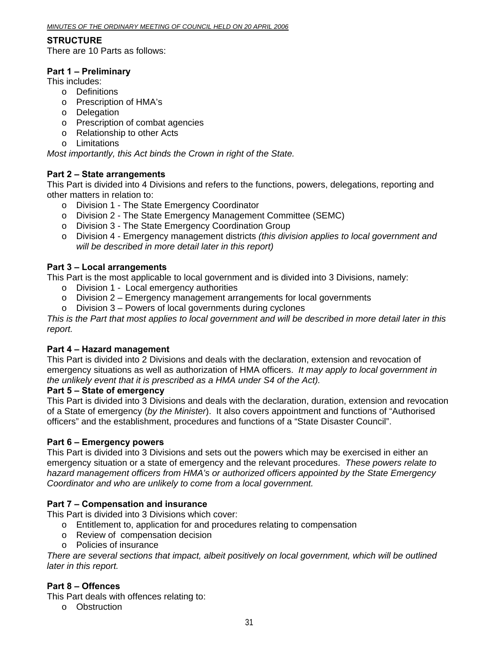#### **STRUCTURE**

There are 10 Parts as follows:

#### **Part 1 – Preliminary**

This includes:

- o Definitions
- o Prescription of HMA's
- o Delegation
- o Prescription of combat agencies
- o Relationship to other Acts
- o Limitations

*Most importantly, this Act binds the Crown in right of the State.* 

#### **Part 2 – State arrangements**

This Part is divided into 4 Divisions and refers to the functions, powers, delegations, reporting and other matters in relation to:

- o Division 1 The State Emergency Coordinator
- o Division 2 The State Emergency Management Committee (SEMC)
- o Division 3 The State Emergency Coordination Group
- o Division 4 Emergency management districts *(this division applies to local government and will be described in more detail later in this report)*

#### **Part 3 – Local arrangements**

This Part is the most applicable to local government and is divided into 3 Divisions, namely:

- o Division 1 Local emergency authorities
- $\circ$  Division 2 Emergency management arrangements for local governments
- o Division 3 Powers of local governments during cyclones

*This is the Part that most applies to local government and will be described in more detail later in this report.* 

#### **Part 4 – Hazard management**

This Part is divided into 2 Divisions and deals with the declaration, extension and revocation of emergency situations as well as authorization of HMA officers. *It may apply to local government in the unlikely event that it is prescribed as a HMA under S4 of the Act).* 

#### **Part 5 – State of emergency**

This Part is divided into 3 Divisions and deals with the declaration, duration, extension and revocation of a State of emergency (*by the Minister*). It also covers appointment and functions of "Authorised officers" and the establishment, procedures and functions of a "State Disaster Council".

#### **Part 6 – Emergency powers**

This Part is divided into 3 Divisions and sets out the powers which may be exercised in either an emergency situation or a state of emergency and the relevant procedures. *These powers relate to hazard management officers from HMA's or authorized officers appointed by the State Emergency Coordinator and who are unlikely to come from a local government.* 

#### **Part 7 – Compensation and insurance**

This Part is divided into 3 Divisions which cover:

- o Entitlement to, application for and procedures relating to compensation
- o Review of compensation decision
- o Policies of insurance

*There are several sections that impact, albeit positively on local government, which will be outlined later in this report.* 

#### **Part 8 – Offences**

This Part deals with offences relating to:

o Obstruction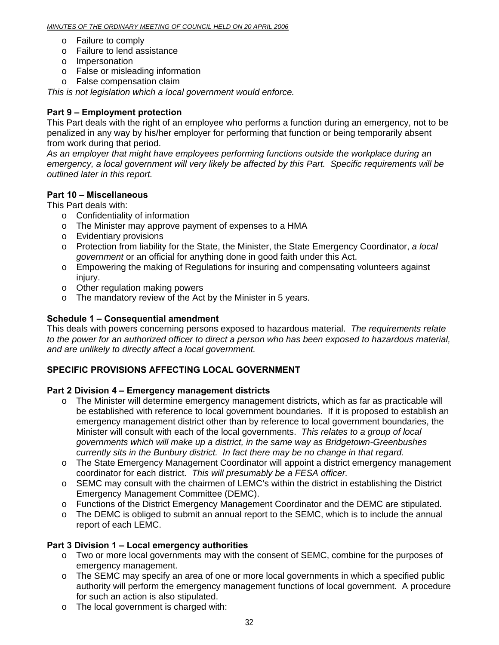- o Failure to comply
- o Failure to lend assistance
- o Impersonation
- o False or misleading information
- o False compensation claim

*This is not legislation which a local government would enforce.* 

### **Part 9 – Employment protection**

This Part deals with the right of an employee who performs a function during an emergency, not to be penalized in any way by his/her employer for performing that function or being temporarily absent from work during that period.

*As an employer that might have employees performing functions outside the workplace during an emergency, a local government will very likely be affected by this Part. Specific requirements will be outlined later in this report.* 

### **Part 10 – Miscellaneous**

This Part deals with:

- o Confidentiality of information
- o The Minister may approve payment of expenses to a HMA
- o Evidentiary provisions
- o Protection from liability for the State, the Minister, the State Emergency Coordinator, *a local government* or an official for anything done in good faith under this Act.
- o Empowering the making of Regulations for insuring and compensating volunteers against injury.
- o Other regulation making powers
- o The mandatory review of the Act by the Minister in 5 years.

### **Schedule 1 – Consequential amendment**

This deals with powers concerning persons exposed to hazardous material. *The requirements relate to the power for an authorized officer to direct a person who has been exposed to hazardous material, and are unlikely to directly affect a local government.* 

### **SPECIFIC PROVISIONS AFFECTING LOCAL GOVERNMENT**

#### **Part 2 Division 4 – Emergency management districts**

- o The Minister will determine emergency management districts, which as far as practicable will be established with reference to local government boundaries. If it is proposed to establish an emergency management district other than by reference to local government boundaries, the Minister will consult with each of the local governments. *This relates to a group of local governments which will make up a district, in the same way as Bridgetown-Greenbushes currently sits in the Bunbury district. In fact there may be no change in that regard.*
- o The State Emergency Management Coordinator will appoint a district emergency management coordinator for each district. *This will presumably be a FESA officer.*
- o SEMC may consult with the chairmen of LEMC's within the district in establishing the District Emergency Management Committee (DEMC).
- o Functions of the District Emergency Management Coordinator and the DEMC are stipulated.
- $\circ$  The DEMC is obliged to submit an annual report to the SEMC, which is to include the annual report of each LEMC.

#### **Part 3 Division 1 – Local emergency authorities**

- o Two or more local governments may with the consent of SEMC, combine for the purposes of emergency management.
- o The SEMC may specify an area of one or more local governments in which a specified public authority will perform the emergency management functions of local government. A procedure for such an action is also stipulated.
- o The local government is charged with: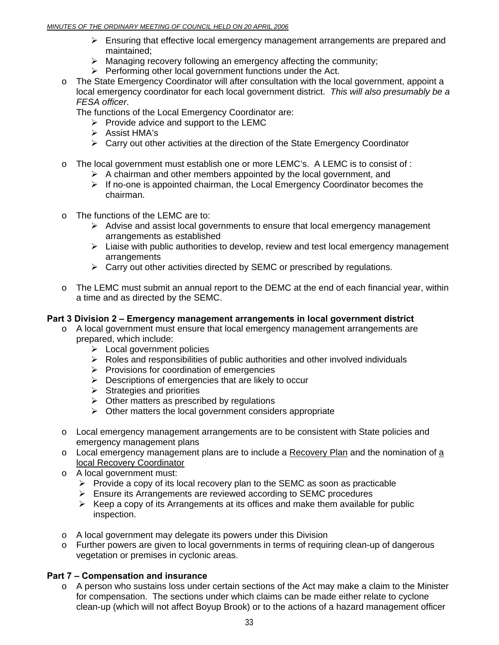#### *MINUTES OF THE ORDINARY MEETING OF COUNCIL HELD ON 20 APRIL 2006*

- $\triangleright$  Ensuring that effective local emergency management arrangements are prepared and maintained;
- $\triangleright$  Managing recovery following an emergency affecting the community;
- $\triangleright$  Performing other local government functions under the Act.
- o The State Emergency Coordinator will after consultation with the local government, appoint a local emergency coordinator for each local government district. *This will also presumably be a FESA officer*.

The functions of the Local Emergency Coordinator are:

- $\triangleright$  Provide advice and support to the LEMC
- ¾ Assist HMA's
- ¾ Carry out other activities at the direction of the State Emergency Coordinator
- o The local government must establish one or more LEMC's. A LEMC is to consist of :
	- $\triangleright$  A chairman and other members appointed by the local government, and
	- $\triangleright$  If no-one is appointed chairman, the Local Emergency Coordinator becomes the chairman.
- o The functions of the LEMC are to:
	- $\triangleright$  Advise and assist local governments to ensure that local emergency management arrangements as established
	- $\triangleright$  Liaise with public authorities to develop, review and test local emergency management arrangements
	- $\triangleright$  Carry out other activities directed by SEMC or prescribed by regulations.
- o The LEMC must submit an annual report to the DEMC at the end of each financial year, within a time and as directed by the SEMC.

#### **Part 3 Division 2 – Emergency management arrangements in local government district**

- $\circ$  A local government must ensure that local emergency management arrangements are prepared, which include:
	- $\triangleright$  Local government policies
	- $\triangleright$  Roles and responsibilities of public authorities and other involved individuals
	- $\triangleright$  Provisions for coordination of emergencies
	- $\triangleright$  Descriptions of emergencies that are likely to occur
	- $\triangleright$  Strategies and priorities
	- $\triangleright$  Other matters as prescribed by regulations
	- $\triangleright$  Other matters the local government considers appropriate
- o Local emergency management arrangements are to be consistent with State policies and emergency management plans
- o Local emergency management plans are to include a Recovery Plan and the nomination of a local Recovery Coordinator
- o A local government must:
	- $\triangleright$  Provide a copy of its local recovery plan to the SEMC as soon as practicable
	- $\triangleright$  Ensure its Arrangements are reviewed according to SEMC procedures
	- $\triangleright$  Keep a copy of its Arrangements at its offices and make them available for public inspection.
- o A local government may delegate its powers under this Division
- o Further powers are given to local governments in terms of requiring clean-up of dangerous vegetation or premises in cyclonic areas.

### **Part 7 – Compensation and insurance**

 $\circ$  A person who sustains loss under certain sections of the Act may make a claim to the Minister for compensation. The sections under which claims can be made either relate to cyclone clean-up (which will not affect Boyup Brook) or to the actions of a hazard management officer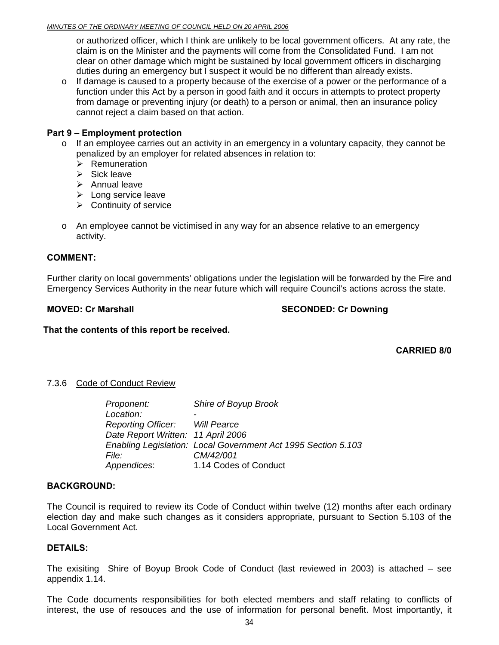#### *MINUTES OF THE ORDINARY MEETING OF COUNCIL HELD ON 20 APRIL 2006*

or authorized officer, which I think are unlikely to be local government officers. At any rate, the claim is on the Minister and the payments will come from the Consolidated Fund. I am not clear on other damage which might be sustained by local government officers in discharging duties during an emergency but I suspect it would be no different than already exists.

 $\circ$  If damage is caused to a property because of the exercise of a power or the performance of a function under this Act by a person in good faith and it occurs in attempts to protect property from damage or preventing injury (or death) to a person or animal, then an insurance policy cannot reject a claim based on that action.

#### **Part 9 – Employment protection**

- $\circ$  If an employee carries out an activity in an emergency in a voluntary capacity, they cannot be penalized by an employer for related absences in relation to:
	- $\triangleright$  Remuneration
	- $\triangleright$  Sick leave
	- $\triangleright$  Annual leave
	- $\blacktriangleright$  Long service leave
	- $\triangleright$  Continuity of service
- $\circ$  An employee cannot be victimised in any way for an absence relative to an emergency activity.

#### **COMMENT:**

Further clarity on local governments' obligations under the legislation will be forwarded by the Fire and Emergency Services Authority in the near future which will require Council's actions across the state.

#### **MOVED: Cr Marshall SECONDED: Cr Downing SECONDED: Cr Downing**

**That the contents of this report be received.** 

**CARRIED 8/0** 

#### 7.3.6 Code of Conduct Review

| Proponent:                         | Shire of Boyup Brook                                          |
|------------------------------------|---------------------------------------------------------------|
| Location:                          |                                                               |
| Reporting Officer: Will Pearce     |                                                               |
| Date Report Written: 11 April 2006 |                                                               |
|                                    | Enabling Legislation: Local Government Act 1995 Section 5.103 |
| <i>File:</i>                       | CM/42/001                                                     |
| Appendices:                        | 1.14 Codes of Conduct                                         |

#### **BACKGROUND:**

The Council is required to review its Code of Conduct within twelve (12) months after each ordinary election day and make such changes as it considers appropriate, pursuant to Section 5.103 of the Local Government Act.

#### **DETAILS:**

The exisiting Shire of Boyup Brook Code of Conduct (last reviewed in 2003) is attached – see appendix 1.14.

The Code documents responsibilities for both elected members and staff relating to conflicts of interest, the use of resouces and the use of information for personal benefit. Most importantly, it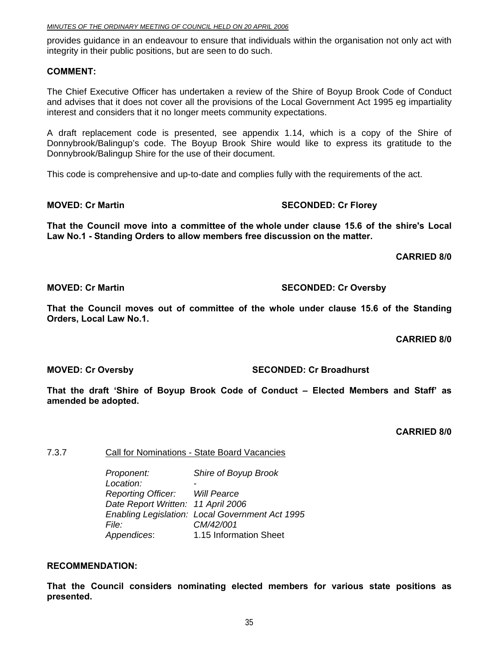| MINUTES OF THE ORDINARY MEETING OF COUNCIL HELD ON 20 APRIL 2006 |
|------------------------------------------------------------------|
|------------------------------------------------------------------|

provides guidance in an endeavour to ensure that individuals within the organisation not only act with integrity in their public positions, but are seen to do such.

#### **COMMENT:**

The Chief Executive Officer has undertaken a review of the Shire of Boyup Brook Code of Conduct and advises that it does not cover all the provisions of the Local Government Act 1995 eg impartiality interest and considers that it no longer meets community expectations.

A draft replacement code is presented, see appendix 1.14, which is a copy of the Shire of Donnybrook/Balingup's code. The Boyup Brook Shire would like to express its gratitude to the Donnybrook/Balingup Shire for the use of their document.

This code is comprehensive and up-to-date and complies fully with the requirements of the act.

#### **MOVED: Cr Martin SECONDED: Cr Florey ATTLE SECONDED: Cr Florey**

**That the Council move into a committee of the whole under clause 15.6 of the shire's Local Law No.1 - Standing Orders to allow members free discussion on the matter.** 

 **CARRIED 8/0** 

#### **MOVED: Cr Martin SECONDED: Cr Oversby SECONDED: Cr Oversby**

**That the Council moves out of committee of the whole under clause 15.6 of the Standing Orders, Local Law No.1.** 

**CARRIED 8/0** 

**MOVED: Cr Oversby SECONDED: Cr Broadhurst**  SECONDED: Cr Broadhurst

**That the draft 'Shire of Boyup Brook Code of Conduct – Elected Members and Staff' as amended be adopted.** 

**CARRIED 8/0** 

7.3.7 Call for Nominations - State Board Vacancies

*Proponent: Shire of Boyup Brook*  Location:  *Reporting Officer: Will Pearce Date Report Written: 11 April 2006 Enabling Legislation: Local Government Act 1995 File: CM/42/001 Appendices*: 1.15 Information Sheet

#### **RECOMMENDATION:**

**That the Council considers nominating elected members for various state positions as presented.**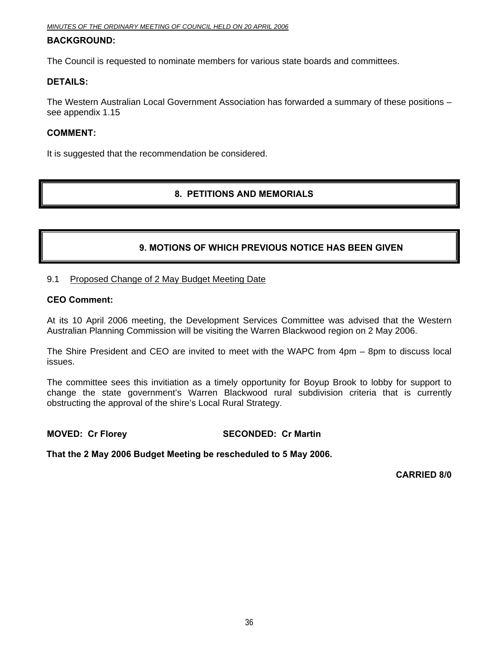#### **BACKGROUND:**

The Council is requested to nominate members for various state boards and committees.

#### **DETAILS:**

The Western Australian Local Government Association has forwarded a summary of these positions – see appendix 1.15

#### **COMMENT:**

It is suggested that the recommendation be considered.

#### **8. PETITIONS AND MEMORIALS**

#### **9. MOTIONS OF WHICH PREVIOUS NOTICE HAS BEEN GIVEN**

#### 9.1 Proposed Change of 2 May Budget Meeting Date

#### **CEO Comment:**

At its 10 April 2006 meeting, the Development Services Committee was advised that the Western Australian Planning Commission will be visiting the Warren Blackwood region on 2 May 2006.

The Shire President and CEO are invited to meet with the WAPC from 4pm – 8pm to discuss local issues.

The committee sees this invitiation as a timely opportunity for Boyup Brook to lobby for support to change the state government's Warren Blackwood rural subdivision criteria that is currently obstructing the approval of the shire's Local Rural Strategy.

#### **MOVED: Cr Florey SECONDED: Cr Martin**

**That the 2 May 2006 Budget Meeting be rescheduled to 5 May 2006.**